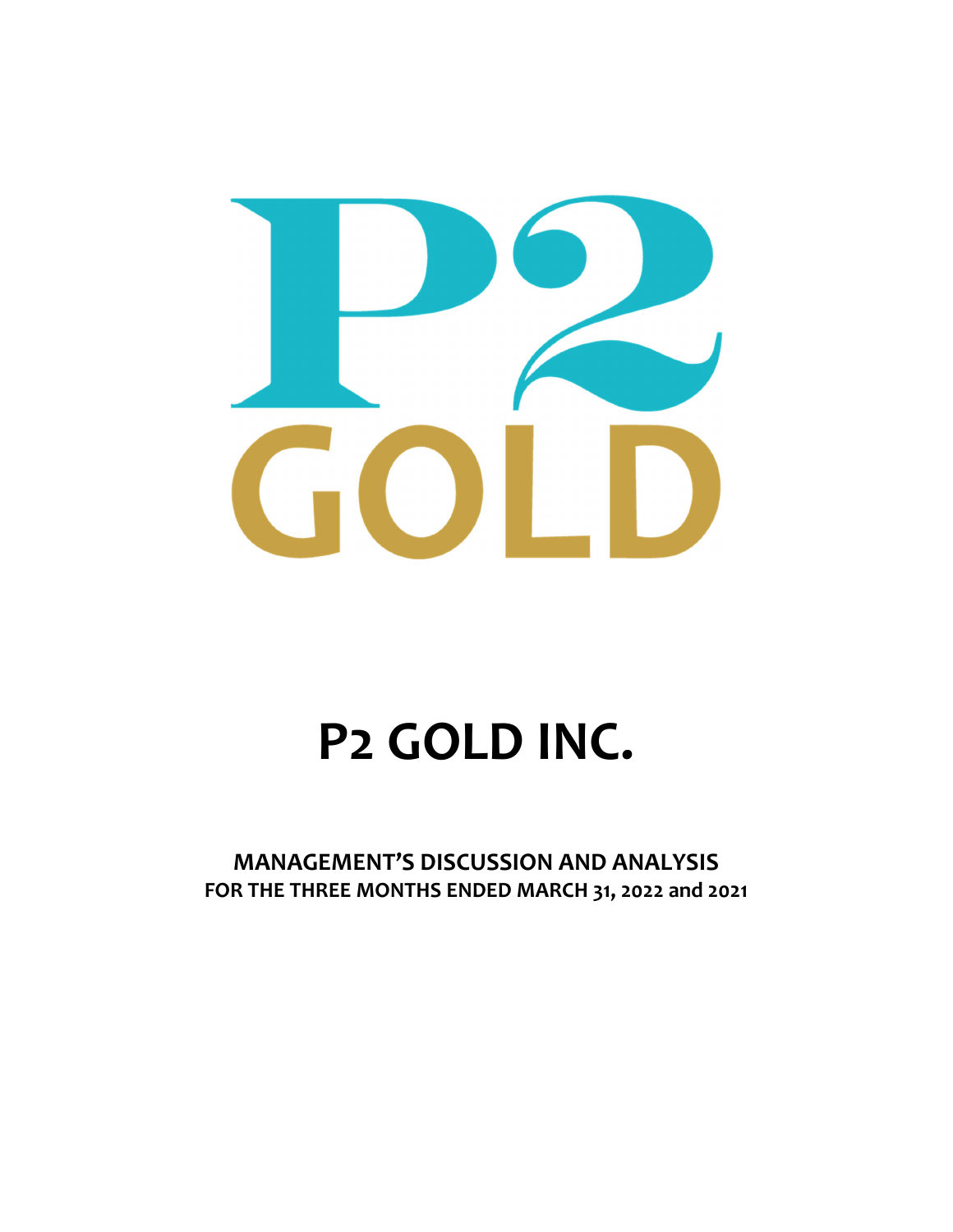

# **P2 GOLD INC.**

**MANAGEMENT'S DISCUSSION AND ANALYSIS FOR THE THREE MONTHS ENDED MARCH 31, 2022 and 2021**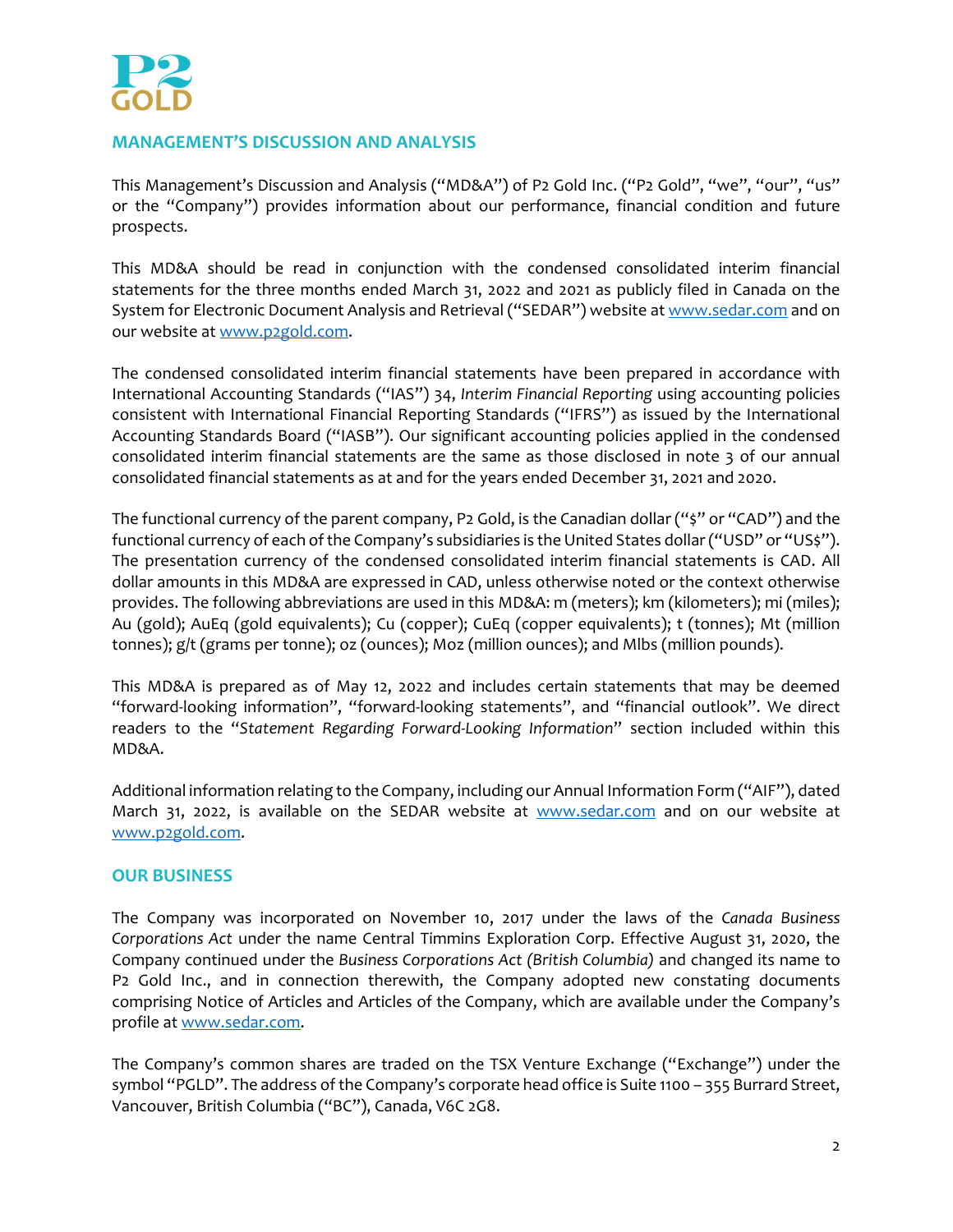

# **MANAGEMENT'S DISCUSSION AND ANALYSIS**

This Management's Discussion and Analysis ("MD&A") of P2 Gold Inc. ("P2 Gold", "we", "our", "us" or the "Company") provides information about our performance, financial condition and future prospects.

This MD&A should be read in conjunction with the condensed consolidated interim financial statements for the three months ended March 31, 2022 and 2021 as publicly filed in Canada on the System for Electronic Document Analysis and Retrieval ("SEDAR") website at www.sedar.com and on our website at www.p2gold.com.

The condensed consolidated interim financial statements have been prepared in accordance with International Accounting Standards ("IAS") 34, *Interim Financial Reporting* using accounting policies consistent with International Financial Reporting Standards ("IFRS") as issued by the International Accounting Standards Board ("IASB"). Our significant accounting policies applied in the condensed consolidated interim financial statements are the same as those disclosed in note 3 of our annual consolidated financial statements as at and for the years ended December 31, 2021 and 2020.

The functional currency of the parent company, P2 Gold, is the Canadian dollar ("\$" or "CAD") and the functional currency of each of the Company's subsidiaries is the United States dollar ("USD" or "US\$"). The presentation currency of the condensed consolidated interim financial statements is CAD. All dollar amounts in this MD&A are expressed in CAD, unless otherwise noted or the context otherwise provides. The following abbreviations are used in this MD&A: m (meters); km (kilometers); mi (miles); Au (gold); AuEq (gold equivalents); Cu (copper); CuEq (copper equivalents); t (tonnes); Mt (million tonnes); g/t (grams per tonne); oz (ounces); Moz (million ounces); and Mlbs (million pounds).

This MD&A is prepared as of May 12, 2022 and includes certain statements that may be deemed "forward‐looking information", "forward‐looking statements", and "financial outlook". We direct readers to the "*Statement Regarding Forward‐Looking Information*" section included within this MD&A.

Additional information relating to the Company, including our Annual Information Form ("AIF"), dated March 31, 2022, is available on the SEDAR website at www.sedar.com and on our website at www.p2gold.com.

# **OUR BUSINESS**

The Company was incorporated on November 10, 2017 under the laws of the *Canada Business Corporations Act* under the name Central Timmins Exploration Corp. Effective August 31, 2020, the Company continued under the *Business Corporations Act (British Columbia)* and changed its name to P2 Gold Inc., and in connection therewith, the Company adopted new constating documents comprising Notice of Articles and Articles of the Company, which are available under the Company's profile at www.sedar.com.

The Company's common shares are traded on the TSX Venture Exchange ("Exchange") under the symbol "PGLD". The address ofthe Company's corporate head office is Suite 1100 – 355 Burrard Street, Vancouver, British Columbia ("BC"), Canada, V6C 2G8.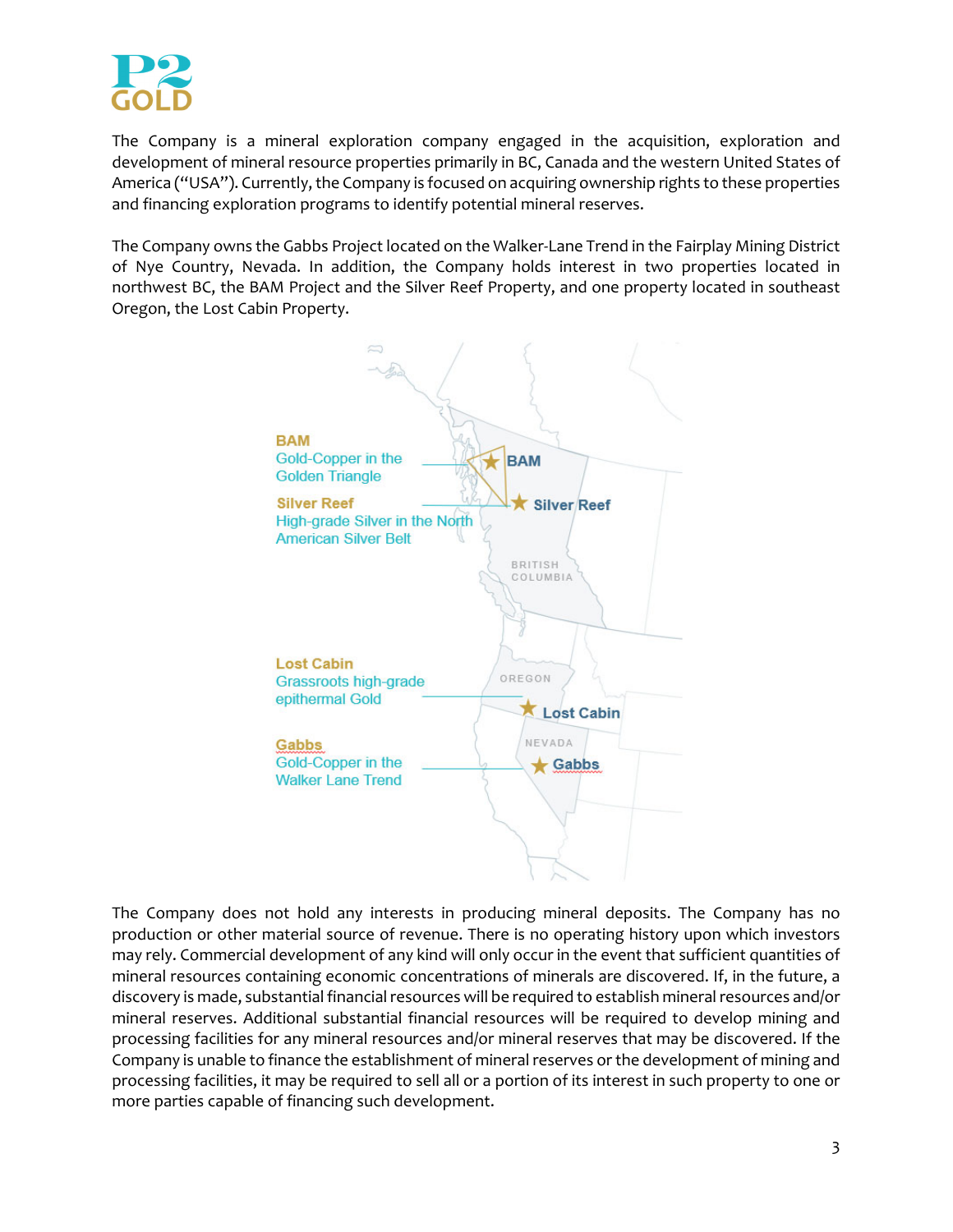

The Company is a mineral exploration company engaged in the acquisition, exploration and development of mineral resource properties primarily in BC, Canada and the western United States of America ("USA"). Currently, the Company is focused on acquiring ownership rights to these properties and financing exploration programs to identify potential mineral reserves.

The Company owns the Gabbs Project located on the Walker‐Lane Trend in the Fairplay Mining District of Nye Country, Nevada. In addition, the Company holds interest in two properties located in northwest BC, the BAM Project and the Silver Reef Property, and one property located in southeast Oregon, the Lost Cabin Property.



The Company does not hold any interests in producing mineral deposits. The Company has no production or other material source of revenue. There is no operating history upon which investors may rely. Commercial development of any kind will only occur in the event that sufficient quantities of mineral resources containing economic concentrations of minerals are discovered. If, in the future, a discovery is made, substantial financial resources will be required to establish mineral resources and/or mineral reserves. Additional substantial financial resources will be required to develop mining and processing facilities for any mineral resources and/or mineral reserves that may be discovered. If the Company is unable to finance the establishment of mineral reserves or the development of mining and processing facilities, it may be required to sell all or a portion of its interest in such property to one or more parties capable of financing such development.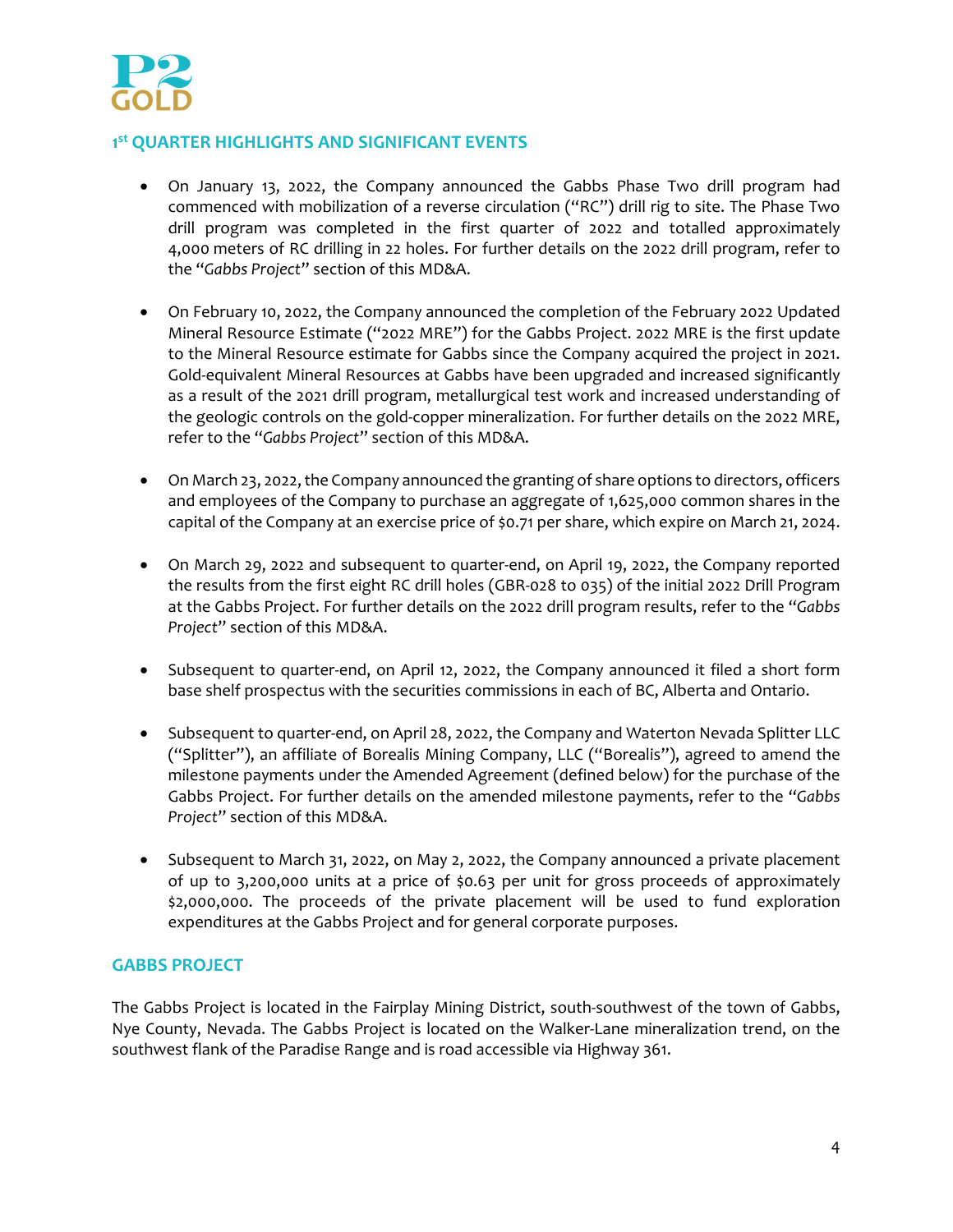

# **1st QUARTER HIGHLIGHTS AND SIGNIFICANT EVENTS**

- On January 13, 2022, the Company announced the Gabbs Phase Two drill program had commenced with mobilization of a reverse circulation ("RC") drill rig to site. The Phase Two drill program was completed in the first quarter of 2022 and totalled approximately 4,000 meters of RC drilling in 22 holes. For further details on the 2022 drill program, refer to the "*Gabbs Project*" section of this MD&A.
- On February 10, 2022, the Company announced the completion of the February 2022 Updated Mineral Resource Estimate ("2022 MRE") for the Gabbs Project. 2022 MRE is the first update to the Mineral Resource estimate for Gabbs since the Company acquired the project in 2021. Gold‐equivalent Mineral Resources at Gabbs have been upgraded and increased significantly as a result of the 2021 drill program, metallurgical test work and increased understanding of the geologic controls on the gold‐copper mineralization. For further details on the 2022 MRE, refer to the "*Gabbs Project*" section of this MD&A.
- On March 23, 2022, the Company announced the granting of share options to directors, officers and employees of the Company to purchase an aggregate of 1,625,000 common shares in the capital of the Company at an exercise price of \$0.71 per share, which expire on March 21, 2024.
- On March 29, 2022 and subsequent to quarter-end, on April 19, 2022, the Company reported the results from the first eight RC drill holes (GBR‐028 to 035) of the initial 2022 Drill Program at the Gabbs Project. For further details on the 2022 drill program results, refer to the "*Gabbs Project*" section of this MD&A.
- Subsequent to quarter-end, on April 12, 2022, the Company announced it filed a short form base shelf prospectus with the securities commissions in each of BC, Alberta and Ontario.
- Subsequent to quarter-end, on April 28, 2022, the Company and Waterton Nevada Splitter LLC ("Splitter"), an affiliate of Borealis Mining Company, LLC ("Borealis"), agreed to amend the milestone payments under the Amended Agreement (defined below) for the purchase of the Gabbs Project. For further details on the amended milestone payments, refer to the "*Gabbs Project*" section of this MD&A.
- Subsequent to March 31, 2022, on May 2, 2022, the Company announced a private placement of up to 3,200,000 units at a price of \$0.63 per unit for gross proceeds of approximately \$2,000,000. The proceeds of the private placement will be used to fund exploration expenditures at the Gabbs Project and for general corporate purposes.

# **GABBS PROJECT**

The Gabbs Project is located in the Fairplay Mining District, south-southwest of the town of Gabbs, Nye County, Nevada. The Gabbs Project is located on the Walker‐Lane mineralization trend, on the southwest flank of the Paradise Range and is road accessible via Highway 361.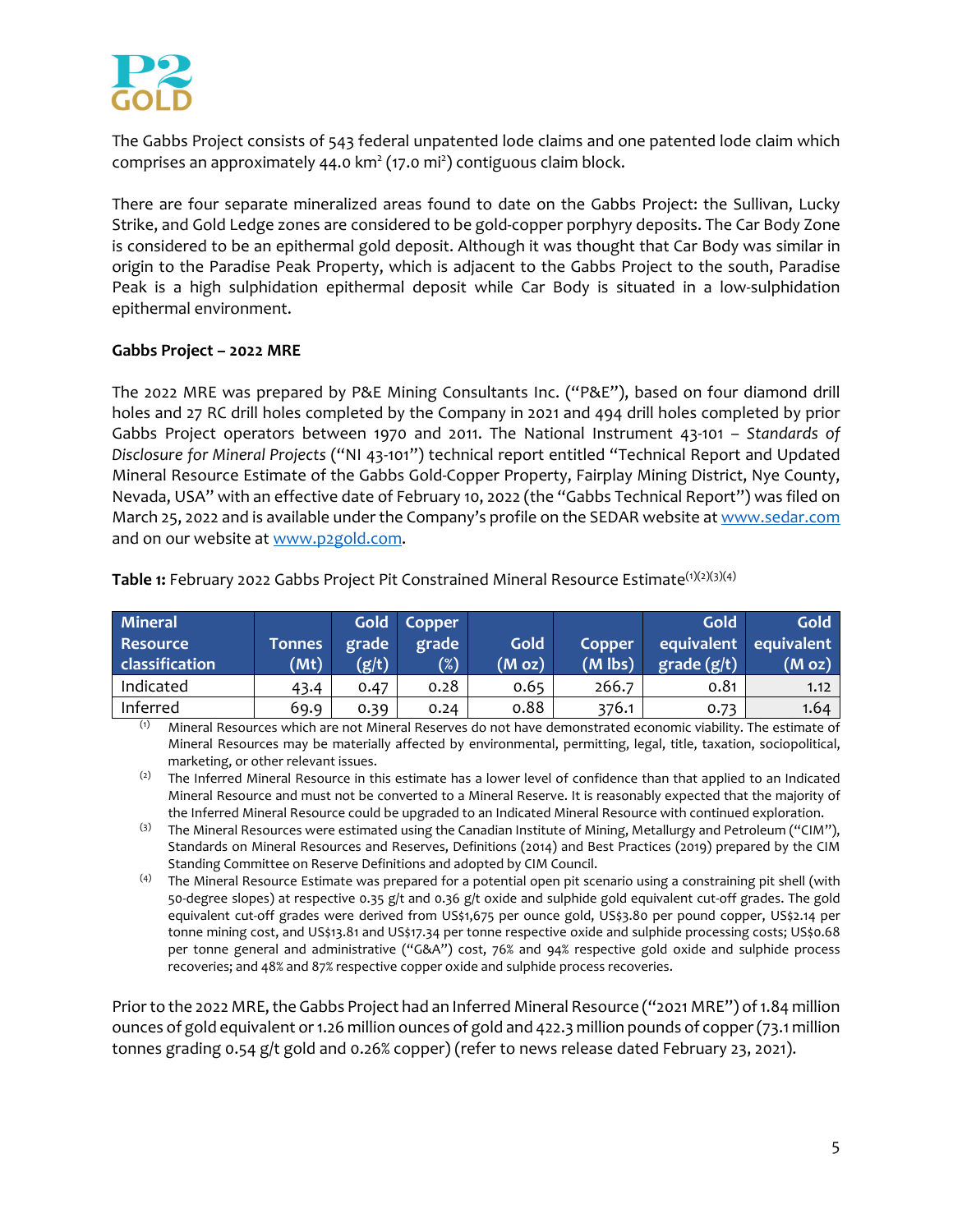

The Gabbs Project consists of 543 federal unpatented lode claims and one patented lode claim which comprises an approximately 44.0  $km^2$  (17.0 mi<sup>2</sup>) contiguous claim block.

There are four separate mineralized areas found to date on the Gabbs Project: the Sullivan, Lucky Strike, and Gold Ledge zones are considered to be gold‐copper porphyry deposits. The Car Body Zone is considered to be an epithermal gold deposit. Although it was thought that Car Body was similar in origin to the Paradise Peak Property, which is adjacent to the Gabbs Project to the south, Paradise Peak is a high sulphidation epithermal deposit while Car Body is situated in a low‐sulphidation epithermal environment.

## **Gabbs Project – 2022 MRE**

The 2022 MRE was prepared by P&E Mining Consultants Inc. ("P&E"), based on four diamond drill holes and 27 RC drill holes completed by the Company in 2021 and 494 drill holes completed by prior Gabbs Project operators between 1970 and 2011. The National Instrument 43‐101 – *Standards of Disclosure for Mineral Projects* ("NI 43‐101") technical report entitled "Technical Report and Updated Mineral Resource Estimate of the Gabbs Gold‐Copper Property, Fairplay Mining District, Nye County, Nevada, USA" with an effective date of February 10, 2022 (the "Gabbs Technical Report") was filed on March 25, 2022 and is available under the Company's profile on the SEDAR website at www.sedar.com and on our website at www.p2gold.com.

| <b>Mineral</b>                    |                       |                | Gold Copper     |                           |                     | <b>Gold</b>       | <b>Gold</b>                     |
|-----------------------------------|-----------------------|----------------|-----------------|---------------------------|---------------------|-------------------|---------------------------------|
| <b>Resource</b><br>classification | <b>Tonnes</b><br>(Mt) | grade<br>(g/t) | grade<br>$(\%)$ | Gold<br>(M <sub>O</sub> ) | Copper<br>$(M$ lbs) | $grade$ ( $g/t$ ) | equivalent equivalent<br>(M oz) |
| Indicated                         | 43.4                  | 0.47           | 0.28            | 0.65                      | 266.7               | 0.81              | 1.12                            |
| Inferred                          | 69.9                  | 0.39           | 0.24            | 0.88                      | 376.1               | 0.73              | 1.64                            |

**Table 1:** February 2022 Gabbs Project Pit Constrained Mineral Resource Estimate(1)(2)(3)(4)

(1) Mineral Resources which are not Mineral Reserves do not have demonstrated economic viability. The estimate of Mineral Resources may be materially affected by environmental, permitting, legal, title, taxation, sociopolitical, marketing, or other relevant issues.

<sup>(2)</sup> The Inferred Mineral Resource in this estimate has a lower level of confidence than that applied to an Indicated Mineral Resource and must not be converted to a Mineral Reserve. It is reasonably expected that the majority of the Inferred Mineral Resource could be upgraded to an Indicated Mineral Resource with continued exploration.

- (3) The Mineral Resources were estimated using the Canadian Institute of Mining, Metallurgy and Petroleum ("CIM"), Standards on Mineral Resources and Reserves, Definitions (2014) and Best Practices (2019) prepared by the CIM Standing Committee on Reserve Definitions and adopted by CIM Council.
- (4) The Mineral Resource Estimate was prepared for a potential open pit scenario using a constraining pit shell (with 50‐degree slopes) at respective 0.35 g/t and 0.36 g/t oxide and sulphide gold equivalent cut‐off grades. The gold equivalent cut‐off grades were derived from US\$1,675 per ounce gold, US\$3.80 per pound copper, US\$2.14 per tonne mining cost, and US\$13.81 and US\$17.34 per tonne respective oxide and sulphide processing costs; US\$0.68 per tonne general and administrative ("G&A") cost, 76% and 94% respective gold oxide and sulphide process recoveries; and 48% and 87% respective copper oxide and sulphide process recoveries.

Prior to the 2022 MRE, the Gabbs Project had an Inferred Mineral Resource ("2021 MRE") of 1.84 million ounces of gold equivalent or1.26 million ounces of gold and 422.3 million pounds of copper(73.1 million tonnes grading 0.54 g/t gold and 0.26% copper) (refer to news release dated February 23, 2021).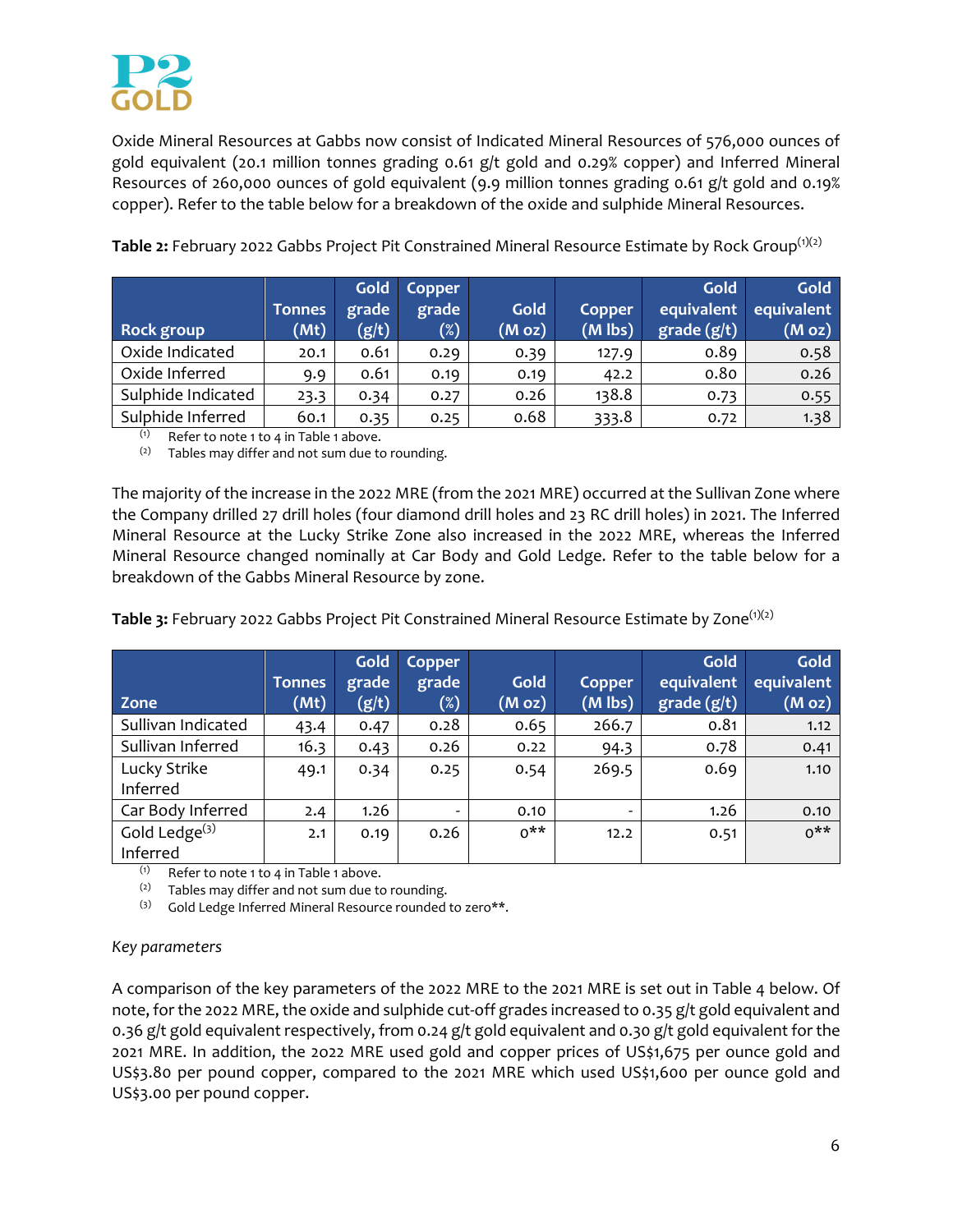

Oxide Mineral Resources at Gabbs now consist of Indicated Mineral Resources of 576,000 ounces of gold equivalent (20.1 million tonnes grading 0.61 g/t gold and 0.29% copper) and Inferred Mineral Resources of 260,000 ounces of gold equivalent (9.9 million tonnes grading 0.61 g/t gold and 0.19% copper). Refer to the table below for a breakdown of the oxide and sulphide Mineral Resources.

|                    |               | Gold  | Copper |        |           | Gold        | Gold       |
|--------------------|---------------|-------|--------|--------|-----------|-------------|------------|
|                    | <b>Tonnes</b> | grade | grade  | Gold   | Copper    | equivalent  | equivalent |
| Rock group         | (Mt)          | (g/t) | $(\%)$ | (M oz) | $(M$ lbs) | grade (g/t) | (M oz)     |
| Oxide Indicated    | 20.1          | 0.61  | 0.29   | 0.39   | 127.9     | 0.89        | 0.58       |
| Oxide Inferred     | 9.9           | 0.61  | 0.19   | 0.19   | 42.2      | 0.80        | 0.26       |
| Sulphide Indicated | 23.3          | 0.34  | 0.27   | 0.26   | 138.8     | 0.73        | 0.55       |
| Sulphide Inferred  | 60.1          | 0.35  | 0.25   | 0.68   | 333.8     | 0.72        | 1.38       |

Table 2: February 2022 Gabbs Project Pit Constrained Mineral Resource Estimate by Rock Group<sup>(1)(2)</sup>

 $(1)$  Refer to note 1 to 4 in Table 1 above.

 $(2)$  Tables may differ and not sum due to rounding.

The majority of the increase in the 2022 MRE (from the 2021 MRE) occurred at the Sullivan Zone where the Company drilled 27 drill holes (four diamond drill holes and 23 RC drill holes) in 2021. The Inferred Mineral Resource at the Lucky Strike Zone also increased in the 2022 MRE, whereas the Inferred Mineral Resource changed nominally at Car Body and Gold Ledge. Refer to the table below for a breakdown of the Gabbs Mineral Resource by zone.

**Table 3:** February 2022 Gabbs Project Pit Constrained Mineral Resource Estimate by Zone<sup>(1)(2)</sup>

| Zone                         | <b>Tonnes</b><br>(Mt) | Gold<br>grade<br>(g/t) | Copper<br>grade<br>$(\%)$ | Gold<br>(M oz) | Copper<br>$(M$ lbs)      | Gold<br>equivalent<br>grade (g/t) | <b>Gold</b><br>equivalent<br>(M oz) |
|------------------------------|-----------------------|------------------------|---------------------------|----------------|--------------------------|-----------------------------------|-------------------------------------|
| Sullivan Indicated           | 43.4                  | 0.47                   | 0.28                      | 0.65           | 266.7                    | 0.81                              | 1.12                                |
| Sullivan Inferred            | 16.3                  | 0.43                   | 0.26                      | 0.22           | 94.3                     | 0.78                              | 0.41                                |
| Lucky Strike<br>Inferred     | 49.1                  | 0.34                   | 0.25                      | 0.54           | 269.5                    | 0.69                              | 1.10                                |
| Car Body Inferred            | 2.4                   | 1.26                   |                           | 0.10           | $\overline{\phantom{0}}$ | 1.26                              | 0.10                                |
| Gold Ledge $(3)$<br>Inferred | 2.1                   | 0.19                   | 0.26                      | $0***$         | 12.2                     | 0.51                              | $0***$                              |

 $(1)$  Refer to note 1 to 4 in Table 1 above.

 $(2)$  Tables may differ and not sum due to rounding.

(3) Gold Ledge Inferred Mineral Resource rounded to zero\*\*.

#### *Key parameters*

A comparison of the key parameters of the 2022 MRE to the 2021 MRE is set out in Table 4 below. Of note, for the 2022 MRE, the oxide and sulphide cut-off grades increased to 0.35 g/t gold equivalent and 0.36 g/t gold equivalent respectively, from 0.24 g/t gold equivalent and 0.30 g/t gold equivalent for the 2021 MRE. In addition, the 2o22 MRE used gold and copper prices of US\$1,675 per ounce gold and US\$3.80 per pound copper, compared to the 2021 MRE which used US\$1,600 per ounce gold and US\$3.00 per pound copper.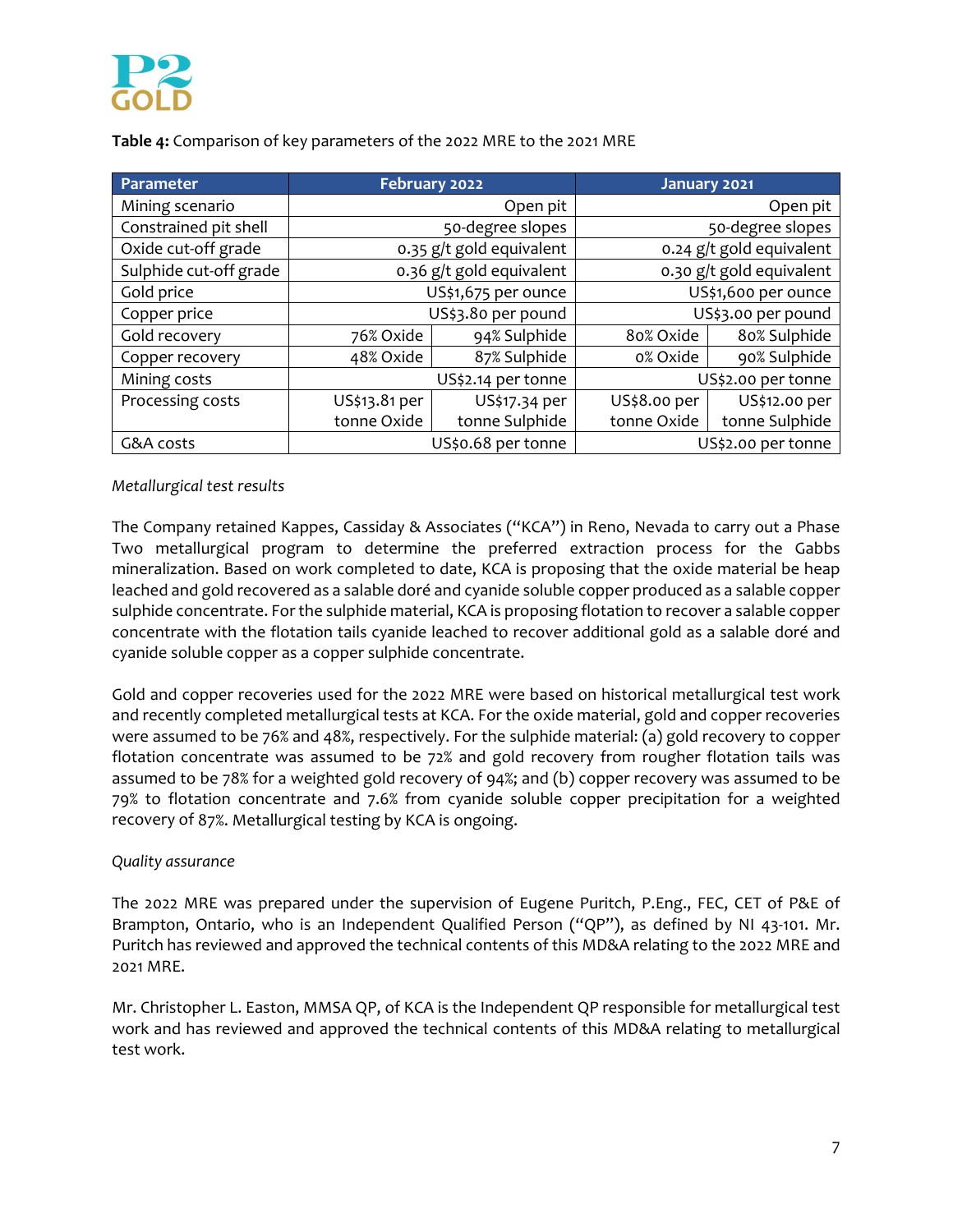

**Table 4:** Comparison of key parameters of the 2022 MRE to the 2021 MRE

| Parameter              | February 2022 |                          | January 2021        |                          |
|------------------------|---------------|--------------------------|---------------------|--------------------------|
| Mining scenario        |               | Open pit                 |                     | Open pit                 |
| Constrained pit shell  |               | 50-degree slopes         |                     | 50-degree slopes         |
| Oxide cut-off grade    |               | 0.35 g/t gold equivalent |                     | 0.24 g/t gold equivalent |
| Sulphide cut-off grade |               | 0.36 g/t gold equivalent |                     | 0.30 g/t gold equivalent |
| Gold price             |               | US\$1,675 per ounce      | US\$1,600 per ounce |                          |
| Copper price           |               | US\$3.80 per pound       | US\$3.00 per pound  |                          |
| Gold recovery          | 76% Oxide     | 94% Sulphide             | 80% Oxide           | 80% Sulphide             |
| Copper recovery        | 48% Oxide     | 87% Sulphide             | 0% Oxide            | 90% Sulphide             |
| Mining costs           |               | US\$2.14 per tonne       |                     | US\$2.00 per tonne       |
| Processing costs       | US\$13.81 per | US\$17.34 per            | US\$8.00 per        | US\$12.00 per            |
|                        | tonne Oxide   | tonne Sulphide           | tonne Oxide         | tonne Sulphide           |
| G&A costs              |               | US\$0.68 per tonne       |                     | US\$2.00 per tonne       |

## *Metallurgical test results*

The Company retained Kappes, Cassiday & Associates ("KCA") in Reno, Nevada to carry out a Phase Two metallurgical program to determine the preferred extraction process for the Gabbs mineralization. Based on work completed to date, KCA is proposing that the oxide material be heap leached and gold recovered as a salable doré and cyanide soluble copper produced as a salable copper sulphide concentrate. For the sulphide material, KCA is proposing flotation to recover a salable copper concentrate with the flotation tails cyanide leached to recover additional gold as a salable doré and cyanide soluble copper as a copper sulphide concentrate.

Gold and copper recoveries used for the 2022 MRE were based on historical metallurgical test work and recently completed metallurgical tests at KCA. For the oxide material, gold and copper recoveries were assumed to be 76% and 48%, respectively. For the sulphide material: (a) gold recovery to copper flotation concentrate was assumed to be 72% and gold recovery from rougher flotation tails was assumed to be 78% for a weighted gold recovery of 94%; and (b) copper recovery was assumed to be 79% to flotation concentrate and 7.6% from cyanide soluble copper precipitation for a weighted recovery of 87%. Metallurgical testing by KCA is ongoing.

#### *Quality assurance*

The 2022 MRE was prepared under the supervision of Eugene Puritch, P.Eng., FEC, CET of P&E of Brampton, Ontario, who is an Independent Qualified Person ("QP"), as defined by NI 43-101. Mr. Puritch has reviewed and approved the technical contents of this MD&A relating to the 2022 MRE and 2021 MRE.

Mr. Christopher L. Easton, MMSA QP, of KCA is the Independent QP responsible for metallurgical test work and has reviewed and approved the technical contents of this MD&A relating to metallurgical test work.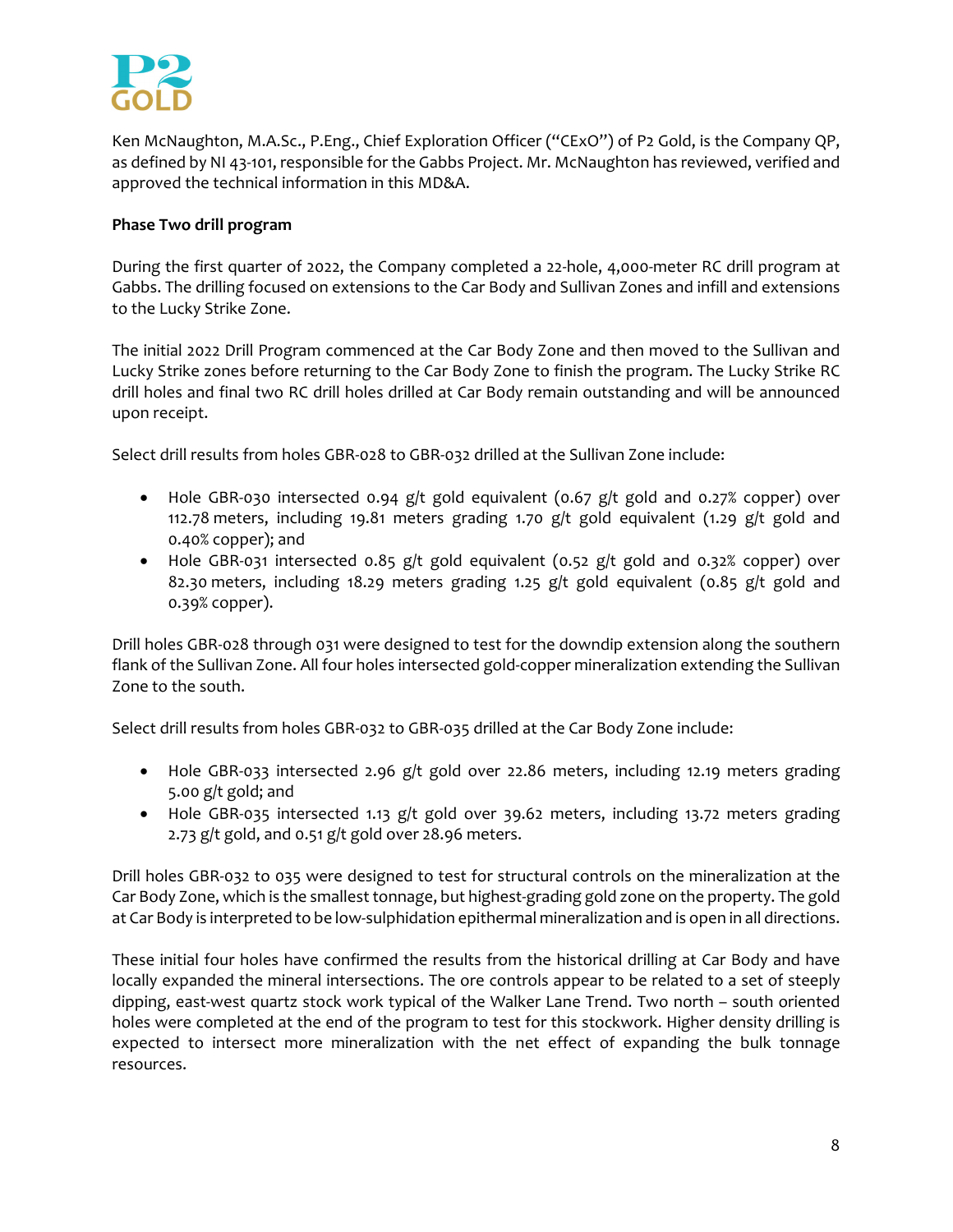

Ken McNaughton, M.A.Sc., P.Eng., Chief Exploration Officer ("CExO") of P2 Gold, is the Company QP, as defined by NI 43‐101, responsible for the Gabbs Project. Mr. McNaughton has reviewed, verified and approved the technical information in this MD&A.

## **Phase Two drill program**

During the first quarter of 2022, the Company completed a 22‐hole, 4,000‐meter RC drill program at Gabbs. The drilling focused on extensions to the Car Body and Sullivan Zones and infill and extensions to the Lucky Strike Zone.

The initial 2022 Drill Program commenced at the Car Body Zone and then moved to the Sullivan and Lucky Strike zones before returning to the Car Body Zone to finish the program. The Lucky Strike RC drill holes and final two RC drill holes drilled at Car Body remain outstanding and will be announced upon receipt.

Select drill results from holes GBR‐028 to GBR‐032 drilled at the Sullivan Zone include:

- Hole GBR-030 intersected 0.94 g/t gold equivalent (0.67 g/t gold and 0.27% copper) over 112.78 meters, including 19.81 meters grading 1.70 g/t gold equivalent (1.29 g/t gold and 0.40% copper); and
- Hole GBR-031 intersected 0.85 g/t gold equivalent (0.52 g/t gold and 0.32% copper) over 82.30 meters, including 18.29 meters grading 1.25 g/t gold equivalent (0.85 g/t gold and 0.39% copper).

Drill holes GBR‐028 through 031 were designed to test for the downdip extension along the southern flank of the Sullivan Zone. All four holes intersected gold‐copper mineralization extending the Sullivan Zone to the south.

Select drill results from holes GBR‐032 to GBR‐035 drilled at the Car Body Zone include:

- Hole GBR-033 intersected 2.96 g/t gold over 22.86 meters, including 12.19 meters grading 5.00 g/t gold; and
- Hole GBR-035 intersected 1.13 g/t gold over 39.62 meters, including 13.72 meters grading 2.73 g/t gold, and 0.51 g/t gold over 28.96 meters.

Drill holes GBR‐032 to 035 were designed to test for structural controls on the mineralization at the Car Body Zone, which is the smallest tonnage, but highest-grading gold zone on the property. The gold at Car Body is interpreted to be low-sulphidation epithermal mineralization and is open in all directions.

These initial four holes have confirmed the results from the historical drilling at Car Body and have locally expanded the mineral intersections. The ore controls appear to be related to a set of steeply dipping, east-west quartz stock work typical of the Walker Lane Trend. Two north – south oriented holes were completed at the end of the program to test for this stockwork. Higher density drilling is expected to intersect more mineralization with the net effect of expanding the bulk tonnage resources.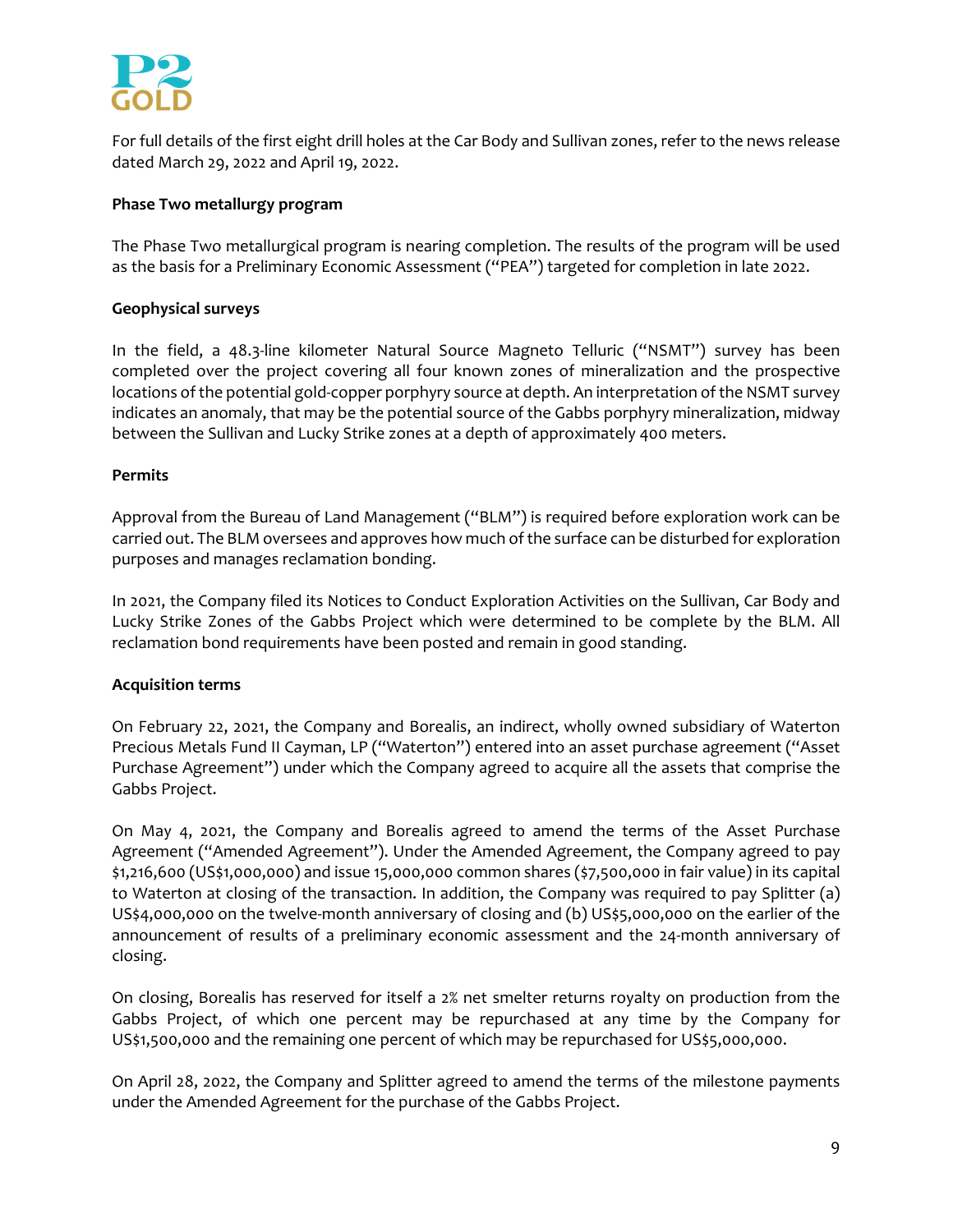

For full details of the first eight drill holes at the Car Body and Sullivan zones, refer to the news release dated March 29, 2022 and April 19, 2022.

## **Phase Two metallurgy program**

The Phase Two metallurgical program is nearing completion. The results of the program will be used as the basis for a Preliminary Economic Assessment ("PEA") targeted for completion in late 2022.

## **Geophysical surveys**

In the field, a 48.3-line kilometer Natural Source Magneto Telluric ("NSMT") survey has been completed over the project covering all four known zones of mineralization and the prospective locations of the potential gold-copper porphyry source at depth. An interpretation of the NSMT survey indicates an anomaly, that may be the potential source of the Gabbs porphyry mineralization, midway between the Sullivan and Lucky Strike zones at a depth of approximately 400 meters.

#### **Permits**

Approval from the Bureau of Land Management ("BLM") is required before exploration work can be carried out. The BLM oversees and approves how much of the surface can be disturbed for exploration purposes and manages reclamation bonding.

In 2021, the Company filed its Notices to Conduct Exploration Activities on the Sullivan, Car Body and Lucky Strike Zones of the Gabbs Project which were determined to be complete by the BLM. All reclamation bond requirements have been posted and remain in good standing.

# **Acquisition terms**

On February 22, 2021, the Company and Borealis, an indirect, wholly owned subsidiary of Waterton Precious Metals Fund II Cayman, LP ("Waterton") entered into an asset purchase agreement ("Asset Purchase Agreement") under which the Company agreed to acquire all the assets that comprise the Gabbs Project.

On May 4, 2021, the Company and Borealis agreed to amend the terms of the Asset Purchase Agreement ("Amended Agreement"). Under the Amended Agreement, the Company agreed to pay \$1,216,600 (US\$1,000,000) and issue 15,000,000 common shares (\$7,500,000 in fair value) in its capital to Waterton at closing of the transaction. In addition, the Company was required to pay Splitter (a) US\$4,000,000 on the twelve-month anniversary of closing and (b) US\$5,000,000 on the earlier of the announcement of results of a preliminary economic assessment and the 24‐month anniversary of closing.

On closing, Borealis has reserved for itself a 2% net smelter returns royalty on production from the Gabbs Project, of which one percent may be repurchased at any time by the Company for US\$1,500,000 and the remaining one percent of which may be repurchased for US\$5,000,000.

On April 28, 2022, the Company and Splitter agreed to amend the terms of the milestone payments under the Amended Agreement for the purchase of the Gabbs Project.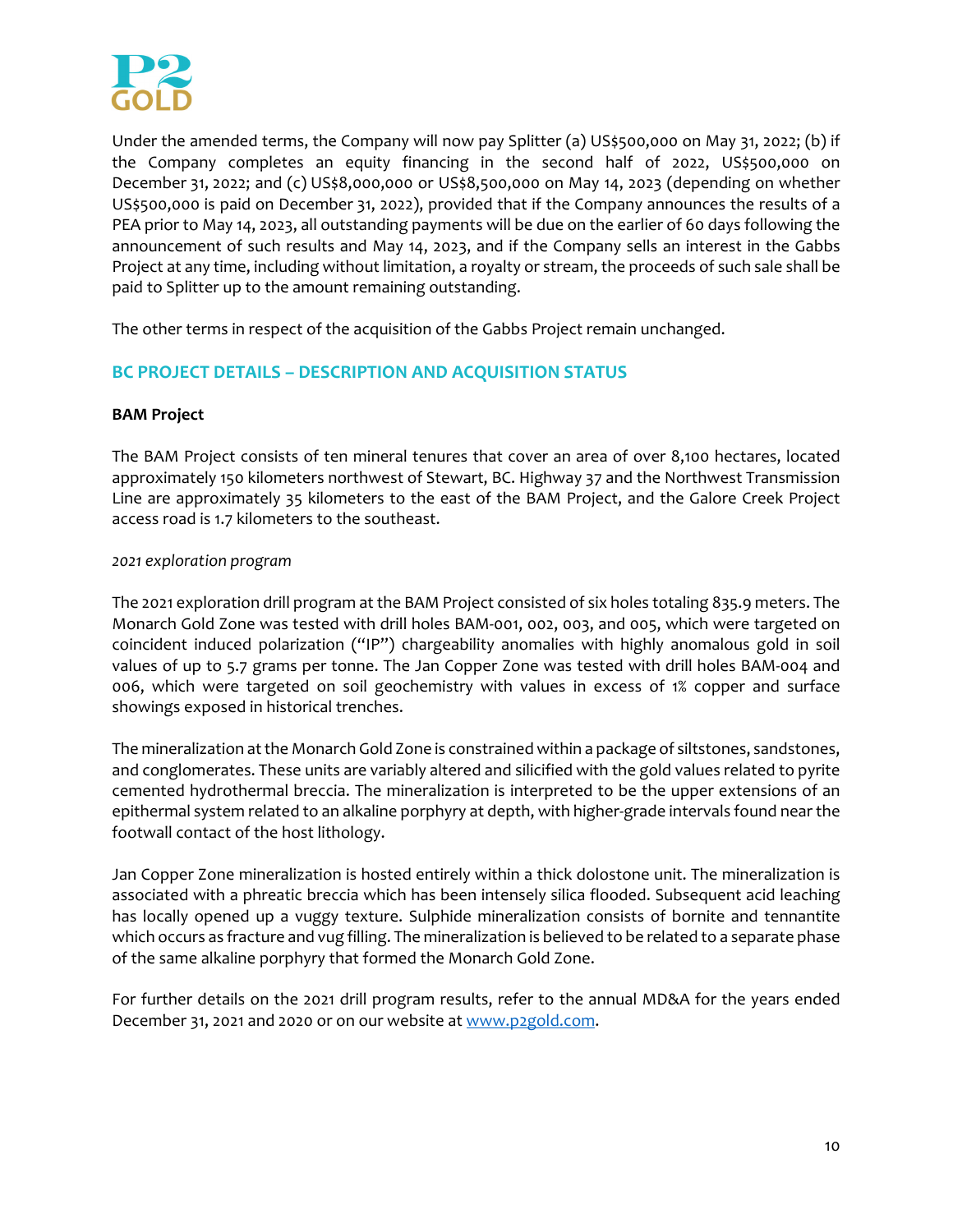

Under the amended terms, the Company will now pay Splitter (a) US\$500,000 on May 31, 2022; (b) if the Company completes an equity financing in the second half of 2022, US\$500,000 on December 31, 2022; and (c) US\$8,000,000 or US\$8,500,000 on May 14, 2023 (depending on whether US\$500,000 is paid on December 31, 2022), provided that if the Company announces the results of a PEA prior to May 14, 2023, all outstanding payments will be due on the earlier of 60 days following the announcement of such results and May 14, 2023, and if the Company sells an interest in the Gabbs Project at any time, including without limitation, a royalty or stream, the proceeds of such sale shall be paid to Splitter up to the amount remaining outstanding.

The other terms in respect of the acquisition of the Gabbs Project remain unchanged.

# **BC PROJECT DETAILS – DESCRIPTION AND ACQUISITION STATUS**

## **BAM Project**

The BAM Project consists of ten mineral tenures that cover an area of over 8,100 hectares, located approximately 150 kilometers northwest of Stewart, BC. Highway 37 and the Northwest Transmission Line are approximately 35 kilometers to the east of the BAM Project, and the Galore Creek Project access road is 1.7 kilometers to the southeast.

## *2021 exploration program*

The 2021 exploration drill program at the BAM Project consisted of six holes totaling 835.9 meters. The Monarch Gold Zone was tested with drill holes BAM‐001, 002, 003, and 005, which were targeted on coincident induced polarization ("IP") chargeability anomalies with highly anomalous gold in soil values of up to 5.7 grams per tonne. The Jan Copper Zone was tested with drill holes BAM‐004 and 006, which were targeted on soil geochemistry with values in excess of 1% copper and surface showings exposed in historical trenches.

The mineralization at the Monarch Gold Zone is constrained within a package of siltstones, sandstones, and conglomerates. These units are variably altered and silicified with the gold values related to pyrite cemented hydrothermal breccia. The mineralization is interpreted to be the upper extensions of an epithermal system related to an alkaline porphyry at depth, with higher-grade intervals found near the footwall contact of the host lithology.

Jan Copper Zone mineralization is hosted entirely within a thick dolostone unit. The mineralization is associated with a phreatic breccia which has been intensely silica flooded. Subsequent acid leaching has locally opened up a vuggy texture. Sulphide mineralization consists of bornite and tennantite which occurs as fracture and vug filling. The mineralization is believed to be related to a separate phase of the same alkaline porphyry that formed the Monarch Gold Zone.

For further details on the 2021 drill program results, refer to the annual MD&A for the years ended December 31, 2021 and 2020 or on our website at www.p2gold.com.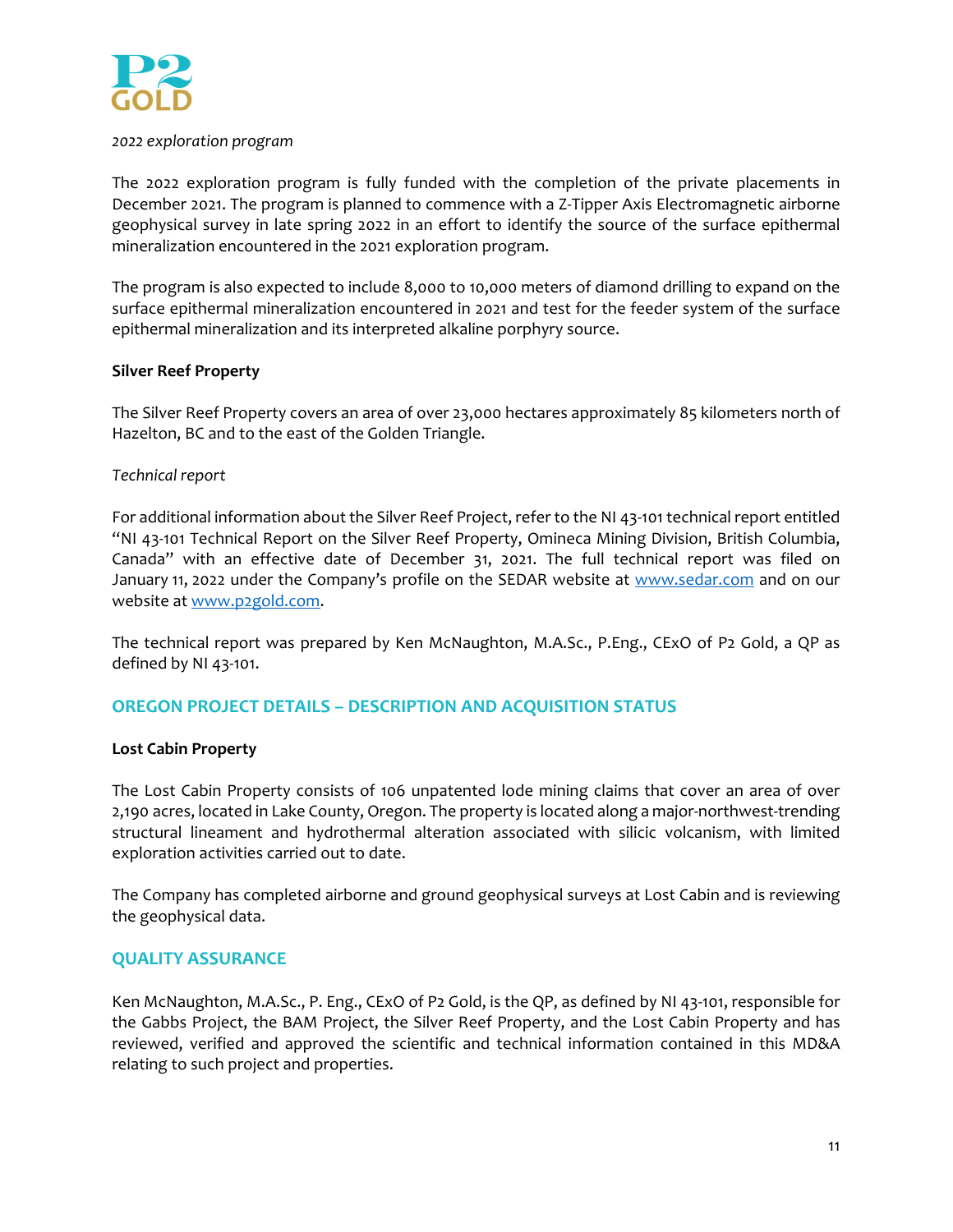

#### *2022 exploration program*

The 2022 exploration program is fully funded with the completion of the private placements in December 2021. The program is planned to commence with a Z‐Tipper Axis Electromagnetic airborne geophysical survey in late spring 2022 in an effort to identify the source of the surface epithermal mineralization encountered in the 2021 exploration program.

The program is also expected to include 8,000 to 10,000 meters of diamond drilling to expand on the surface epithermal mineralization encountered in 2021 and test for the feeder system of the surface epithermal mineralization and its interpreted alkaline porphyry source.

#### **Silver Reef Property**

The Silver Reef Property covers an area of over 23,000 hectares approximately 85 kilometers north of Hazelton, BC and to the east of the Golden Triangle.

#### *Technical report*

For additional information about the Silver Reef Project, refer to the NI 43‐101 technical report entitled "NI 43‐101 Technical Report on the Silver Reef Property, Omineca Mining Division, British Columbia, Canada" with an effective date of December 31, 2021. The full technical report was filed on January 11, 2022 under the Company's profile on the SEDAR website at www.sedar.com and on our website at www.p2gold.com.

The technical report was prepared by Ken McNaughton, M.A.Sc., P.Eng., CExO of P2 Gold, a QP as defined by NI 43‐101.

# **OREGON PROJECT DETAILS – DESCRIPTION AND ACQUISITION STATUS**

#### **Lost Cabin Property**

The Lost Cabin Property consists of 106 unpatented lode mining claims that cover an area of over 2,190 acres, located in Lake County, Oregon. The property is located along a major‐northwest‐trending structural lineament and hydrothermal alteration associated with silicic volcanism, with limited exploration activities carried out to date.

The Company has completed airborne and ground geophysical surveys at Lost Cabin and is reviewing the geophysical data.

#### **QUALITY ASSURANCE**

Ken McNaughton, M.A.Sc., P. Eng., CExO of P2 Gold, is the QP, as defined by NI 43‐101, responsible for the Gabbs Project, the BAM Project, the Silver Reef Property, and the Lost Cabin Property and has reviewed, verified and approved the scientific and technical information contained in this MD&A relating to such project and properties.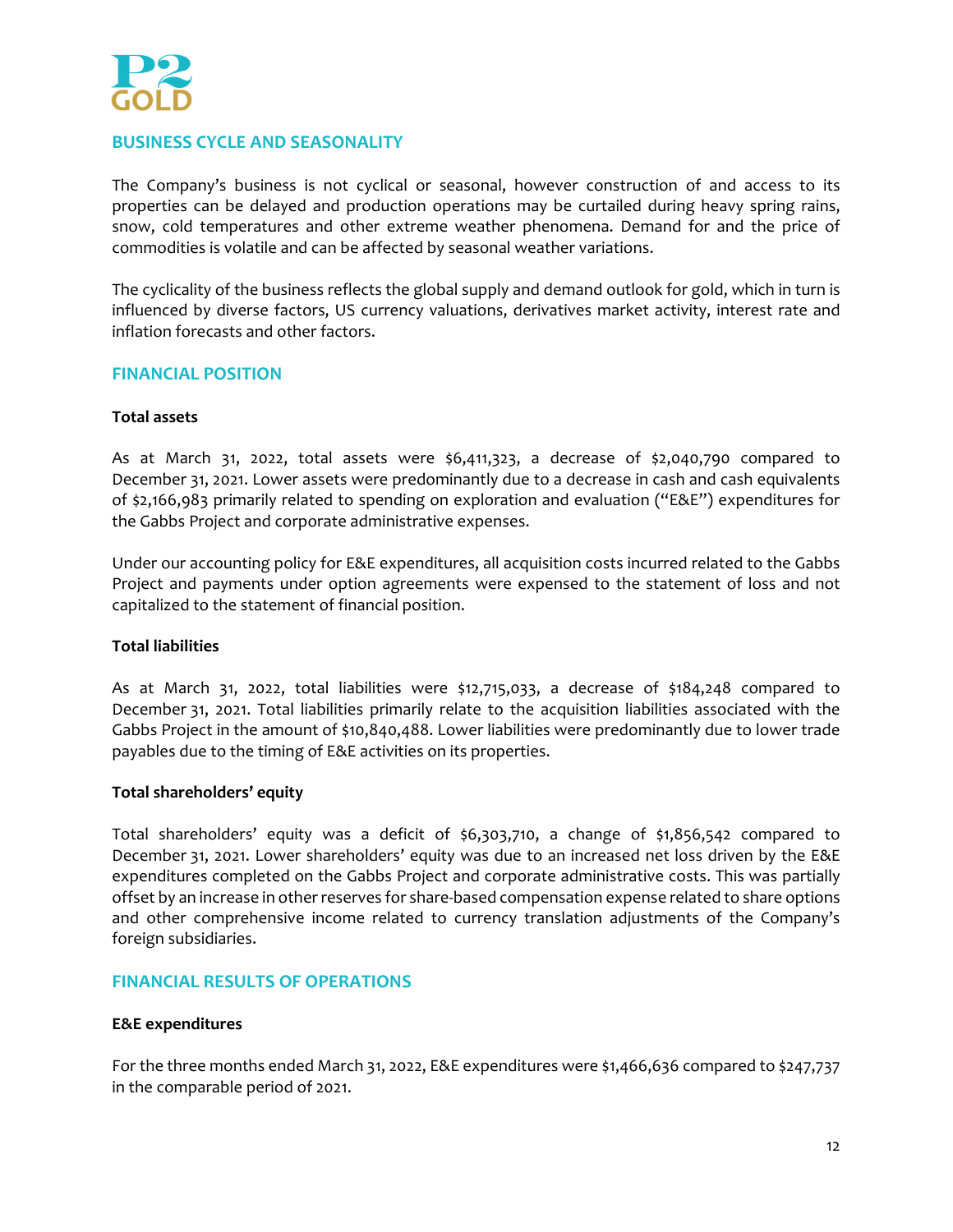

# **BUSINESS CYCLE AND SEASONALITY**

The Company's business is not cyclical or seasonal, however construction of and access to its properties can be delayed and production operations may be curtailed during heavy spring rains, snow, cold temperatures and other extreme weather phenomena. Demand for and the price of commodities is volatile and can be affected by seasonal weather variations.

The cyclicality of the business reflects the global supply and demand outlook for gold, which in turn is influenced by diverse factors, US currency valuations, derivatives market activity, interest rate and inflation forecasts and other factors.

#### **FINANCIAL POSITION**

#### **Total assets**

As at March 31, 2022, total assets were  $$6,411,323$ , a decrease of  $$2,040,790$  compared to December 31, 2021. Lower assets were predominantly due to a decrease in cash and cash equivalents of \$2,166,983 primarily related to spending on exploration and evaluation ("E&E") expenditures for the Gabbs Project and corporate administrative expenses.

Under our accounting policy for E&E expenditures, all acquisition costs incurred related to the Gabbs Project and payments under option agreements were expensed to the statement of loss and not capitalized to the statement of financial position.

#### **Total liabilities**

As at March 31, 2022, total liabilities were \$12,715,033, a decrease of \$184,248 compared to December 31, 2021. Total liabilities primarily relate to the acquisition liabilities associated with the Gabbs Project in the amount of \$10,840,488. Lower liabilities were predominantly due to lower trade payables due to the timing of E&E activities on its properties.

#### **Total shareholders' equity**

Total shareholders' equity was a deficit of \$6,303,710, a change of \$1,856,542 compared to December 31, 2021. Lower shareholders' equity was due to an increased net loss driven by the E&E expenditures completed on the Gabbs Project and corporate administrative costs. This was partially offset by an increase in other reserves for share-based compensation expense related to share options and other comprehensive income related to currency translation adjustments of the Company's foreign subsidiaries.

#### **FINANCIAL RESULTS OF OPERATIONS**

#### **E&E expenditures**

For the three months ended March 31, 2022, E&E expenditures were \$1,466,636 compared to \$247,737 in the comparable period of 2021.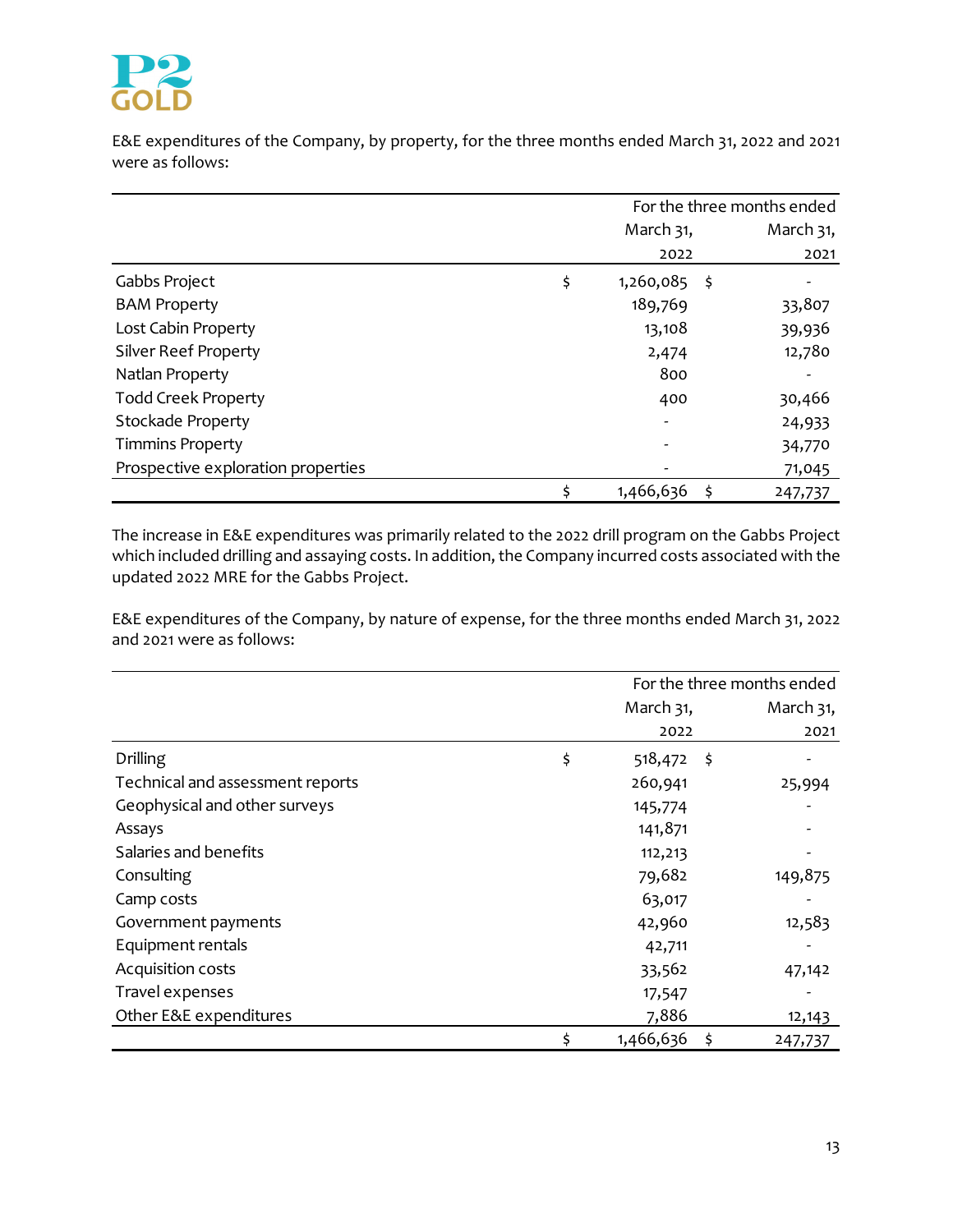

E&E expenditures of the Company, by property, for the three months ended March 31, 2022 and 2021 were as follows:

|                                    | For the three months ended |           |  |  |
|------------------------------------|----------------------------|-----------|--|--|
|                                    | March 31,                  | March 31, |  |  |
|                                    | 2022                       | 2021      |  |  |
| Gabbs Project                      | \$<br>$1,260,085$ \$       |           |  |  |
| <b>BAM Property</b>                | 189,769                    | 33,807    |  |  |
| Lost Cabin Property                | 13,108                     | 39,936    |  |  |
| <b>Silver Reef Property</b>        | 2,474                      | 12,780    |  |  |
| Natlan Property                    | 800                        |           |  |  |
| <b>Todd Creek Property</b>         | 400                        | 30,466    |  |  |
| <b>Stockade Property</b>           |                            | 24,933    |  |  |
| <b>Timmins Property</b>            |                            | 34,770    |  |  |
| Prospective exploration properties |                            | 71,045    |  |  |
|                                    | \$<br>1,466,636            | 247,737   |  |  |

The increase in E&E expenditures was primarily related to the 2022 drill program on the Gabbs Project which included drilling and assaying costs. In addition, the Company incurred costs associated with the updated 2022 MRE for the Gabbs Project.

E&E expenditures of the Company, by nature of expense, for the three months ended March 31, 2022 and 2021 were as follows:

|                                  |                       | For the three months ended |
|----------------------------------|-----------------------|----------------------------|
|                                  | March 31,             | March 31,                  |
|                                  | 2022                  | 2021                       |
| <b>Drilling</b>                  | \$<br>$518,472$ \$    |                            |
| Technical and assessment reports | 260,941               | 25,994                     |
| Geophysical and other surveys    | 145,774               |                            |
| Assays                           | 141,871               |                            |
| Salaries and benefits            | 112,213               |                            |
| Consulting                       | 79,682                | 149,875                    |
| Camp costs                       | 63,017                |                            |
| Government payments              | 42,960                | 12,583                     |
| Equipment rentals                | 42,711                |                            |
| Acquisition costs                | 33,562                | 47,142                     |
| Travel expenses                  | 17,547                |                            |
| Other E&E expenditures           | 7,886                 | 12,143                     |
|                                  | \$<br>1,466,636<br>\$ | 247,737                    |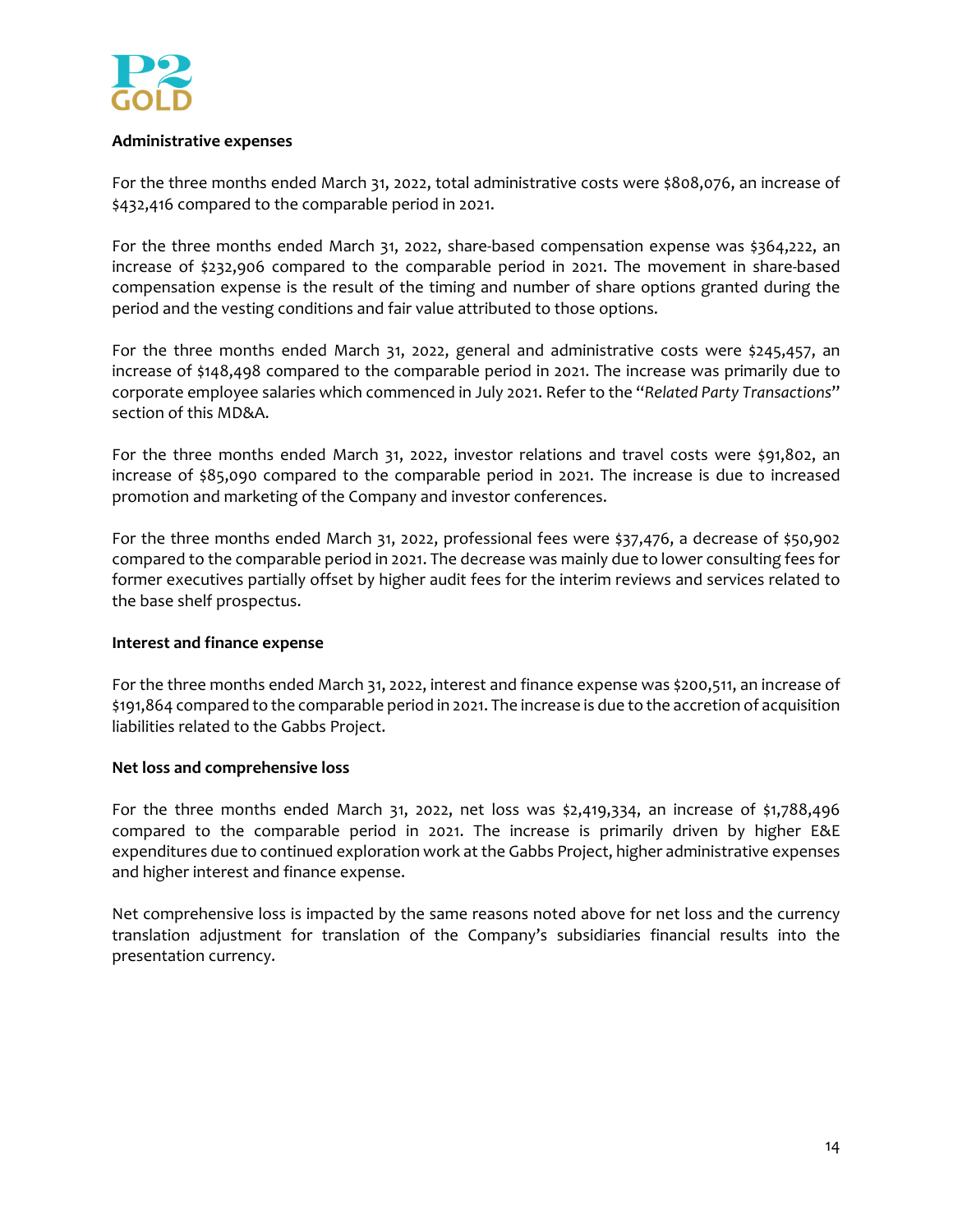

## **Administrative expenses**

For the three months ended March 31, 2022, total administrative costs were \$808,076, an increase of \$432,416 compared to the comparable period in 2021.

For the three months ended March 31, 2022, share‐based compensation expense was \$364,222, an increase of \$232,906 compared to the comparable period in 2021. The movement in share‐based compensation expense is the result of the timing and number of share options granted during the period and the vesting conditions and fair value attributed to those options.

For the three months ended March 31, 2022, general and administrative costs were \$245,457, an increase of \$148,498 compared to the comparable period in 2021. The increase was primarily due to corporate employee salaries which commenced in July 2021. Refer to the "*Related Party Transactions*" section of this MD&A.

For the three months ended March 31, 2022, investor relations and travel costs were \$91,802, an increase of \$85,090 compared to the comparable period in 2021. The increase is due to increased promotion and marketing of the Company and investor conferences.

For the three months ended March 31, 2022, professional fees were \$37,476, a decrease of \$50,902 compared to the comparable period in 2021. The decrease was mainly due to lower consulting fees for former executives partially offset by higher audit fees for the interim reviews and services related to the base shelf prospectus.

#### **Interest and finance expense**

For the three months ended March 31, 2022, interest and finance expense was \$200,511, an increase of \$191,864 compared to the comparable period in 2021. The increase is due to the accretion of acquisition liabilities related to the Gabbs Project.

#### **Net loss and comprehensive loss**

For the three months ended March 31, 2022, net loss was \$2,419,334, an increase of \$1,788,496 compared to the comparable period in 2021. The increase is primarily driven by higher E&E expenditures due to continued exploration work at the Gabbs Project, higher administrative expenses and higher interest and finance expense.

Net comprehensive loss is impacted by the same reasons noted above for net loss and the currency translation adjustment for translation of the Company's subsidiaries financial results into the presentation currency.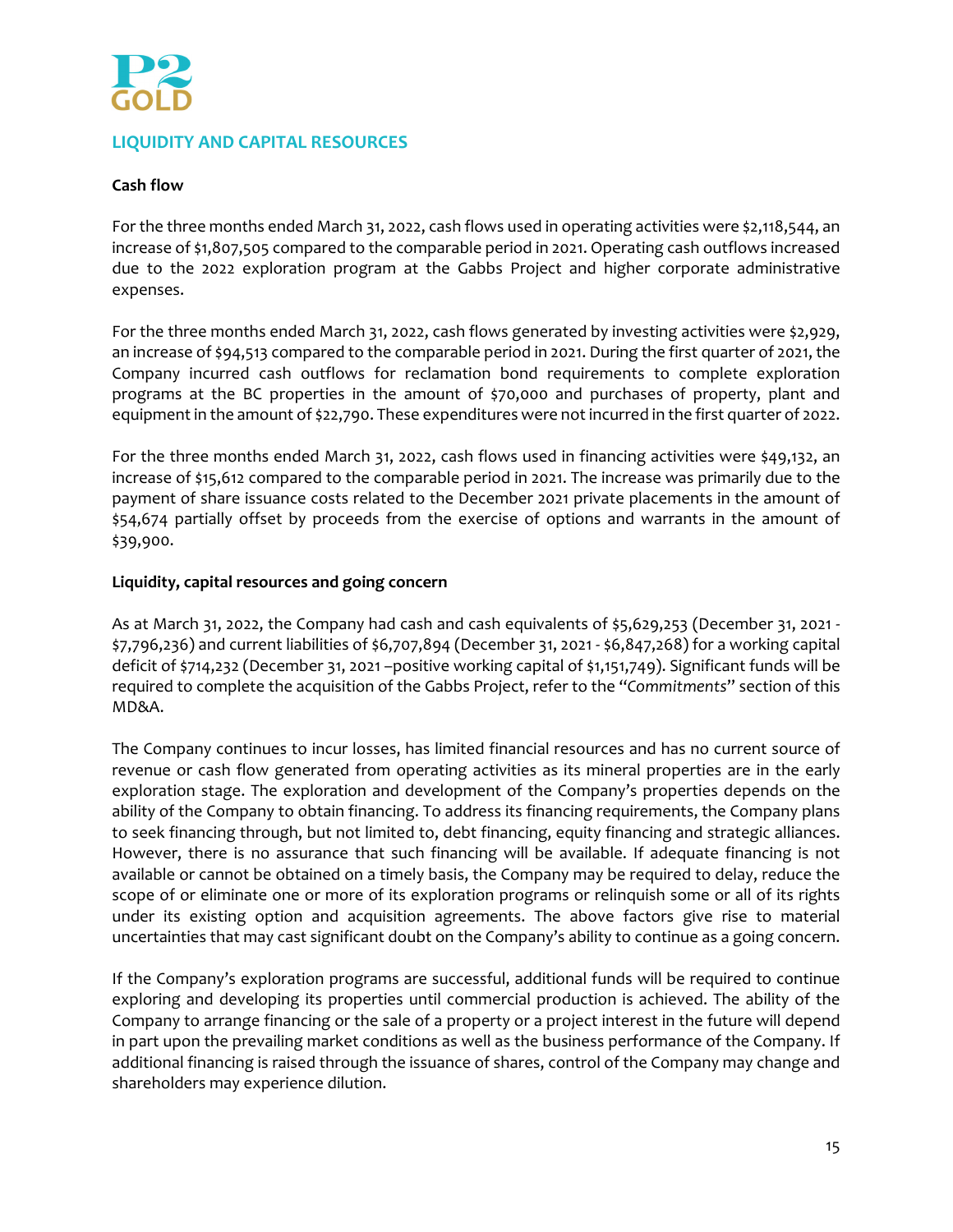

# **LIQUIDITY AND CAPITAL RESOURCES**

## **Cash flow**

For the three months ended March 31, 2022, cash flows used in operating activities were \$2,118,544, an increase of \$1,807,505 compared to the comparable period in 2021. Operating cash outflows increased due to the 2022 exploration program at the Gabbs Project and higher corporate administrative expenses.

For the three months ended March 31, 2022, cash flows generated by investing activities were \$2,929, an increase of \$94,513 compared to the comparable period in 2021. During the first quarter of 2021, the Company incurred cash outflows for reclamation bond requirements to complete exploration programs at the BC properties in the amount of \$70,000 and purchases of property, plant and equipment in the amount of \$22,790. These expenditures were not incurred in the first quarter of 2022.

For the three months ended March 31, 2022, cash flows used in financing activities were \$49,132, an increase of \$15,612 compared to the comparable period in 2021. The increase was primarily due to the payment of share issuance costs related to the December 2021 private placements in the amount of \$54,674 partially offset by proceeds from the exercise of options and warrants in the amount of \$39,900.

## **Liquidity, capital resources and going concern**

As at March 31, 2022, the Company had cash and cash equivalents of \$5,629,253 (December 31, 2021 ‐ \$7,796,236) and current liabilities of \$6,707,894 (December 31, 2021 ‐ \$6,847,268) for a working capital deficit of \$714,232 (December 31, 2021 –positive working capital of \$1,151,749). Significant funds will be required to complete the acquisition of the Gabbs Project, refer to the "*Commitments*" section of this MD&A.

The Company continues to incur losses, has limited financial resources and has no current source of revenue or cash flow generated from operating activities as its mineral properties are in the early exploration stage. The exploration and development of the Company's properties depends on the ability of the Company to obtain financing. To address its financing requirements, the Company plans to seek financing through, but not limited to, debt financing, equity financing and strategic alliances. However, there is no assurance that such financing will be available. If adequate financing is not available or cannot be obtained on a timely basis, the Company may be required to delay, reduce the scope of or eliminate one or more of its exploration programs or relinquish some or all of its rights under its existing option and acquisition agreements. The above factors give rise to material uncertainties that may cast significant doubt on the Company's ability to continue as a going concern.

If the Company's exploration programs are successful, additional funds will be required to continue exploring and developing its properties until commercial production is achieved. The ability of the Company to arrange financing or the sale of a property or a project interest in the future will depend in part upon the prevailing market conditions as well as the business performance of the Company. If additional financing is raised through the issuance of shares, control of the Company may change and shareholders may experience dilution.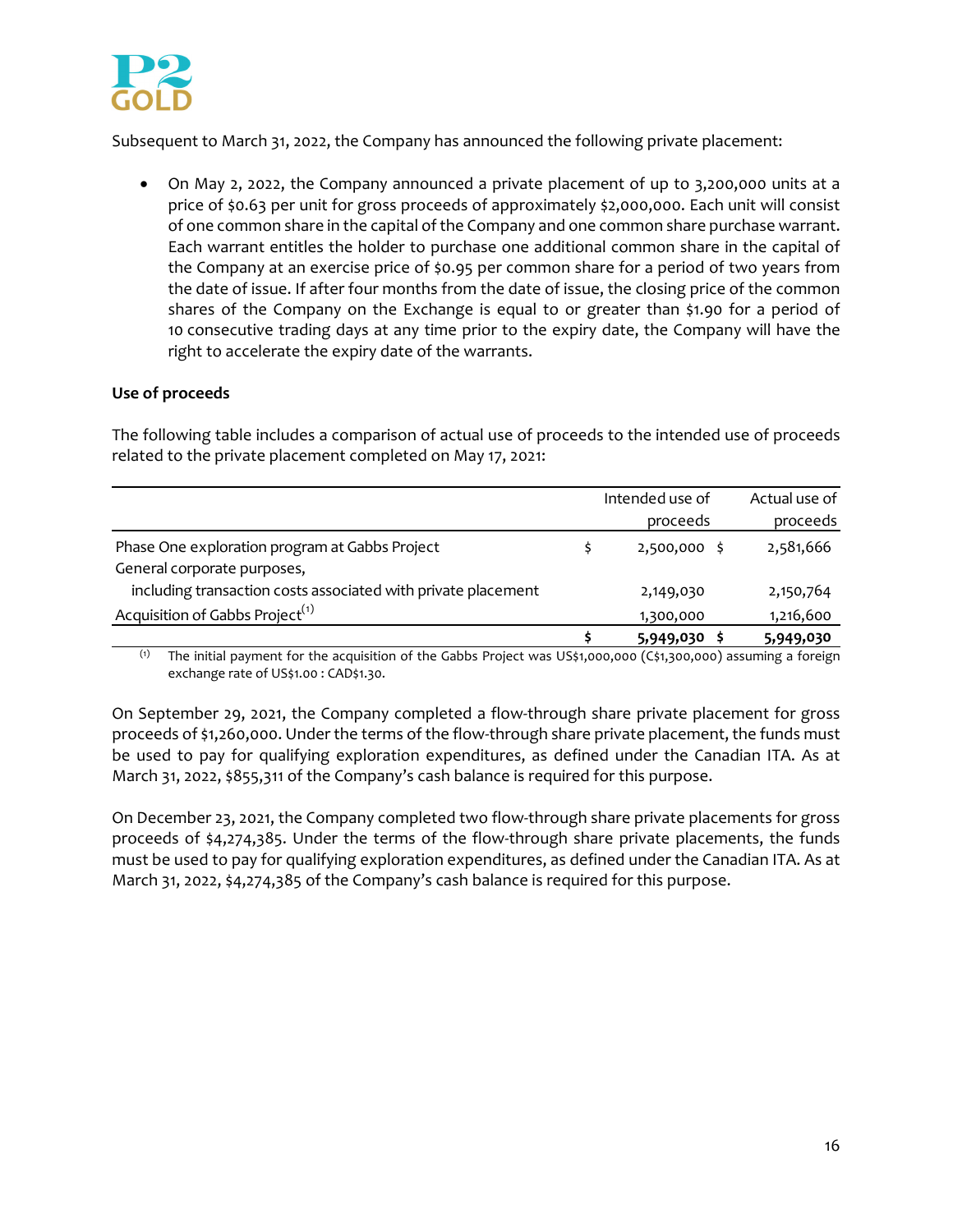

Subsequent to March 31, 2022, the Company has announced the following private placement:

 On May 2, 2022, the Company announced a private placement of up to 3,200,000 units at a price of \$0.63 per unit for gross proceeds of approximately \$2,000,000. Each unit will consist of one common share in the capital of the Company and one common share purchase warrant. Each warrant entitles the holder to purchase one additional common share in the capital of the Company at an exercise price of \$0.95 per common share for a period of two years from the date of issue. If after four months from the date of issue, the closing price of the common shares of the Company on the Exchange is equal to or greater than \$1.90 for a period of 10 consecutive trading days at any time prior to the expiry date, the Company will have the right to accelerate the expiry date of the warrants.

## **Use of proceeds**

The following table includes a comparison of actual use of proceeds to the intended use of proceeds related to the private placement completed on May 17, 2021:

|                                                               | Intended use of | Actual use of |
|---------------------------------------------------------------|-----------------|---------------|
|                                                               | proceeds        | proceeds      |
| Phase One exploration program at Gabbs Project                | $2,500,000$ \$  | 2,581,666     |
| General corporate purposes,                                   |                 |               |
| including transaction costs associated with private placement | 2,149,030       | 2,150,764     |
| Acquisition of Gabbs Project <sup>(1)</sup>                   | 1,300,000       | 1,216,600     |
|                                                               | 5,949,030       | 5,949,030     |

(1) The initial payment for the acquisition of the Gabbs Project was US\$1,000,000 (C\$1,300,000) assuming a foreign exchange rate of US\$1.00 : CAD\$1.30.

On September 29, 2021, the Company completed a flow‐through share private placement for gross proceeds of \$1,260,000. Under the terms of the flow-through share private placement, the funds must be used to pay for qualifying exploration expenditures, as defined under the Canadian ITA. As at March 31, 2022, \$855,311 of the Company's cash balance is required for this purpose.

On December 23, 2021, the Company completed two flow-through share private placements for gross proceeds of \$4,274,385. Under the terms of the flow-through share private placements, the funds must be used to pay for qualifying exploration expenditures, as defined under the Canadian ITA. As at March 31, 2022, \$4,274,385 of the Company's cash balance is required for this purpose.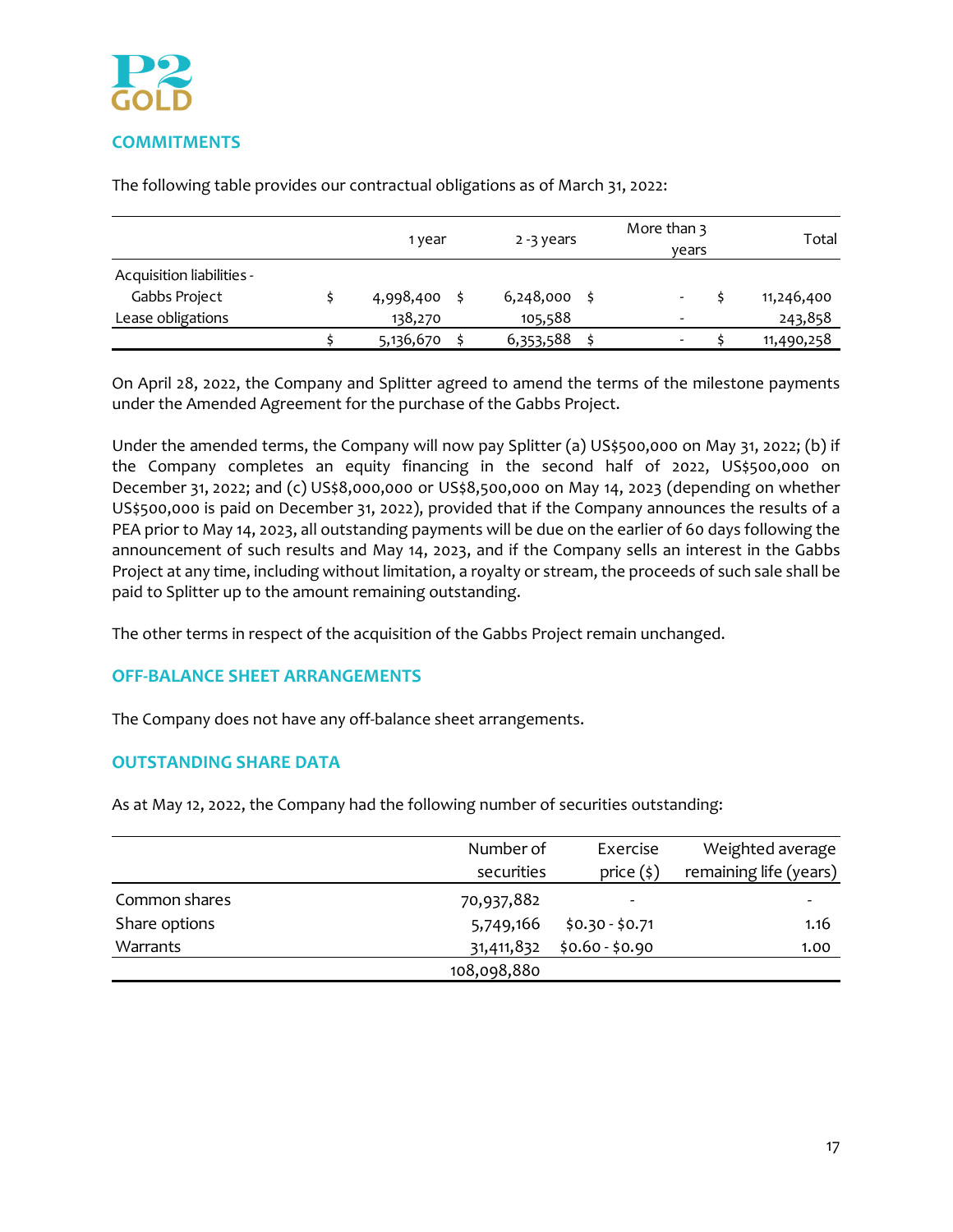

#### 1 year 2 -3 years More than 3 years Total Acquisition liabilities ‐ Gabbs Project  $\zeta = \zeta + 4,998,400 \zeta + 6,248,000 \zeta + 4,998,400$ Lease obligations 138,270 ‐ 105,588 243,858  $\begin{matrix} 5 & 5,136,670 & 5 & 6,353,588 & 5 & 5 & 11,490,258 \end{matrix}$

The following table provides our contractual obligations as of March 31, 2022:

On April 28, 2022, the Company and Splitter agreed to amend the terms of the milestone payments under the Amended Agreement for the purchase of the Gabbs Project.

Under the amended terms, the Company will now pay Splitter (a) US\$500,000 on May 31, 2022; (b) if the Company completes an equity financing in the second half of 2022, US\$500,000 on December 31, 2022; and (c) US\$8,000,000 or US\$8,500,000 on May 14, 2023 (depending on whether US\$500,000 is paid on December 31, 2022), provided that if the Company announces the results of a PEA prior to May 14, 2023, all outstanding payments will be due on the earlier of 60 days following the announcement of such results and May 14, 2023, and if the Company sells an interest in the Gabbs Project at any time, including without limitation, a royalty or stream, the proceeds of such sale shall be paid to Splitter up to the amount remaining outstanding.

The other terms in respect of the acquisition of the Gabbs Project remain unchanged.

# **OFF‐BALANCE SHEET ARRANGEMENTS**

The Company does not have any off‐balance sheet arrangements.

# **OUTSTANDING SHARE DATA**

As at May 12, 2022, the Company had the following number of securities outstanding:

|               | Number of   | Exercise        | Weighted average       |
|---------------|-------------|-----------------|------------------------|
|               | securities  | price $(\xi)$   | remaining life (years) |
| Common shares | 70,937,882  |                 |                        |
| Share options | 5,749,166   | $$0.30 - $0.71$ | 1.16                   |
| Warrants      | 31,411,832  | $$0.60 - $0.90$ | 1.00                   |
|               | 108,098,880 |                 |                        |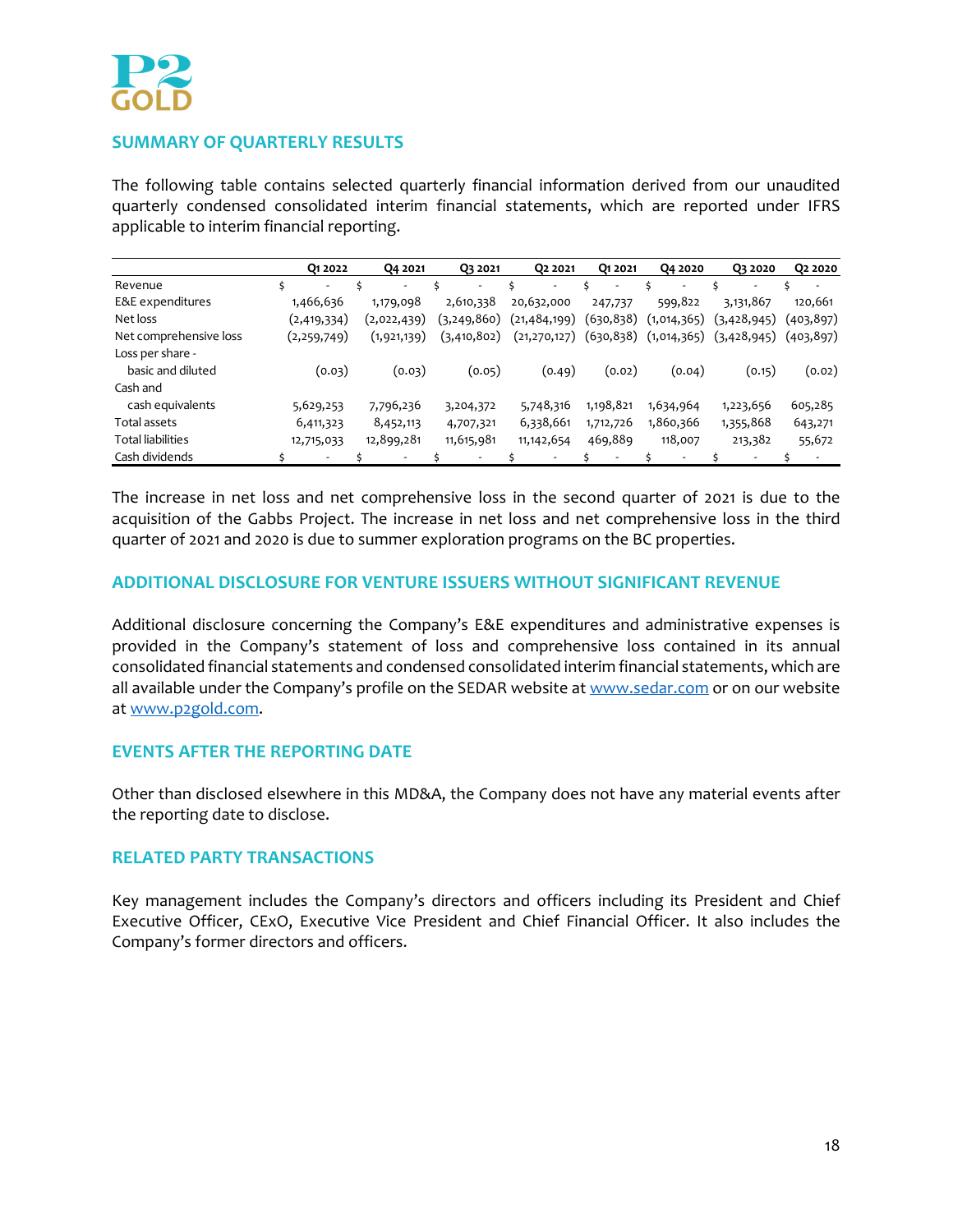# **SUMMARY OF QUARTERLY RESULTS**

The following table contains selected quarterly financial information derived from our unaudited quarterly condensed consolidated interim financial statements, which are reported under IFRS applicable to interim financial reporting.

|                          | Q1 2022       | Q4 2021       | Q3 2021       | 02 2021        | 01 20 21                 | Q4 2020                  | Q3 2020                  | Q <sub>2</sub> 2020      |
|--------------------------|---------------|---------------|---------------|----------------|--------------------------|--------------------------|--------------------------|--------------------------|
| Revenue                  | Ś.<br>٠       |               | ۰             | ۰.             | $\overline{\phantom{a}}$ | $\overline{\phantom{a}}$ | ۰                        | $\overline{\phantom{a}}$ |
| E&E expenditures         | 1,466,636     | 1,179,098     | 2,610,338     | 20,632,000     | 247,737                  | 599,822                  | 3,131,867                | 120,661                  |
| Net loss                 | (2,419,334)   | (2,022,439)   | (3, 249, 860) | (21, 484, 199) | (630, 838)               | (1,014,365)              | (3,428,945)              | (403,897)                |
| Net comprehensive loss   | (2, 259, 749) | (1, 921, 139) | (3,410,802)   | (21, 270, 127) | (630, 838)               | (1,014,365)              | (3,428,945)              | (403,897)                |
| Loss per share -         |               |               |               |                |                          |                          |                          |                          |
| basic and diluted        | (0.03)        | (0.03)        | (0.05)        | (0.49)         | (0.02)                   | (0.04)                   | (0.15)                   | (0.02)                   |
| Cash and                 |               |               |               |                |                          |                          |                          |                          |
| cash equivalents         | 5,629,253     | 7,796,236     | 3,204,372     | 5,748,316      | 1,198,821                | 1,634,964                | 1,223,656                | 605,285                  |
| Total assets             | 6,411,323     | 8,452,113     | 4,707,321     | 6,338,661      | 1,712,726                | 1,860,366                | 1,355,868                | 643,271                  |
| <b>Total liabilities</b> | 12,715,033    | 12,899,281    | 11,615,981    | 11, 142, 654   | 469,889                  | 118,007                  | 213,382                  | 55,672                   |
| Cash dividends           | -             |               |               |                |                          |                          | $\overline{\phantom{a}}$ | $\overline{\phantom{a}}$ |

The increase in net loss and net comprehensive loss in the second quarter of 2021 is due to the acquisition of the Gabbs Project. The increase in net loss and net comprehensive loss in the third quarter of 2021 and 2020 is due to summer exploration programs on the BC properties.

# **ADDITIONAL DISCLOSURE FOR VENTURE ISSUERS WITHOUT SIGNIFICANT REVENUE**

Additional disclosure concerning the Company's E&E expenditures and administrative expenses is provided in the Company's statement of loss and comprehensive loss contained in its annual consolidated financial statements and condensed consolidated interim financial statements, which are all available under the Company's profile on the SEDAR website at www.sedar.com or on our website at www.p2gold.com.

#### **EVENTS AFTER THE REPORTING DATE**

Other than disclosed elsewhere in this MD&A, the Company does not have any material events after the reporting date to disclose.

## **RELATED PARTY TRANSACTIONS**

Key management includes the Company's directors and officers including its President and Chief Executive Officer, CExO, Executive Vice President and Chief Financial Officer. It also includes the Company's former directors and officers.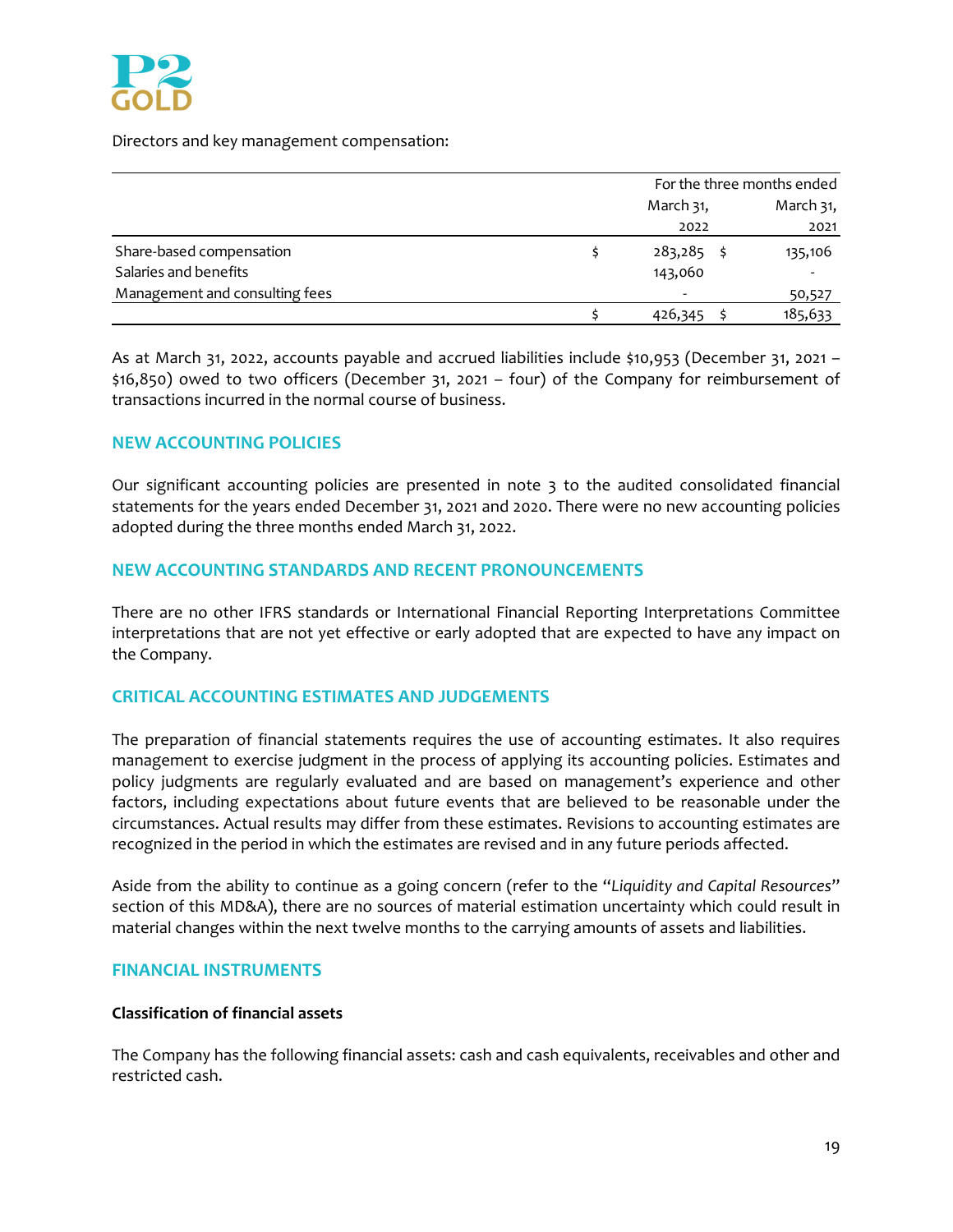

Directors and key management compensation:

|                                | For the three months ended |           |  |
|--------------------------------|----------------------------|-----------|--|
|                                | March 31,                  | March 31, |  |
|                                | 2022                       | 2021      |  |
| Share-based compensation       | 283,285                    | 135,106   |  |
| Salaries and benefits          | 143,060                    |           |  |
| Management and consulting fees | -                          | 50,527    |  |
|                                | 426,345                    | 185,633   |  |

As at March 31, 2022, accounts payable and accrued liabilities include \$10,953 (December 31, 2021 – \$16,850) owed to two officers (December 31, 2021 – four) of the Company for reimbursement of transactions incurred in the normal course of business.

# **NEW ACCOUNTING POLICIES**

Our significant accounting policies are presented in note 3 to the audited consolidated financial statements for the years ended December 31, 2021 and 2020. There were no new accounting policies adopted during the three months ended March 31, 2022.

## **NEW ACCOUNTING STANDARDS AND RECENT PRONOUNCEMENTS**

There are no other IFRS standards or International Financial Reporting Interpretations Committee interpretations that are not yet effective or early adopted that are expected to have any impact on the Company.

# **CRITICAL ACCOUNTING ESTIMATES AND JUDGEMENTS**

The preparation of financial statements requires the use of accounting estimates. It also requires management to exercise judgment in the process of applying its accounting policies. Estimates and policy judgments are regularly evaluated and are based on management's experience and other factors, including expectations about future events that are believed to be reasonable under the circumstances. Actual results may differ from these estimates. Revisions to accounting estimates are recognized in the period in which the estimates are revised and in any future periods affected.

Aside from the ability to continue as a going concern (refer to the "*Liquidity and Capital Resources*" section of this MD&A), there are no sources of material estimation uncertainty which could result in material changes within the next twelve months to the carrying amounts of assets and liabilities.

#### **FINANCIAL INSTRUMENTS**

#### **Classification of financial assets**

The Company has the following financial assets: cash and cash equivalents, receivables and other and restricted cash.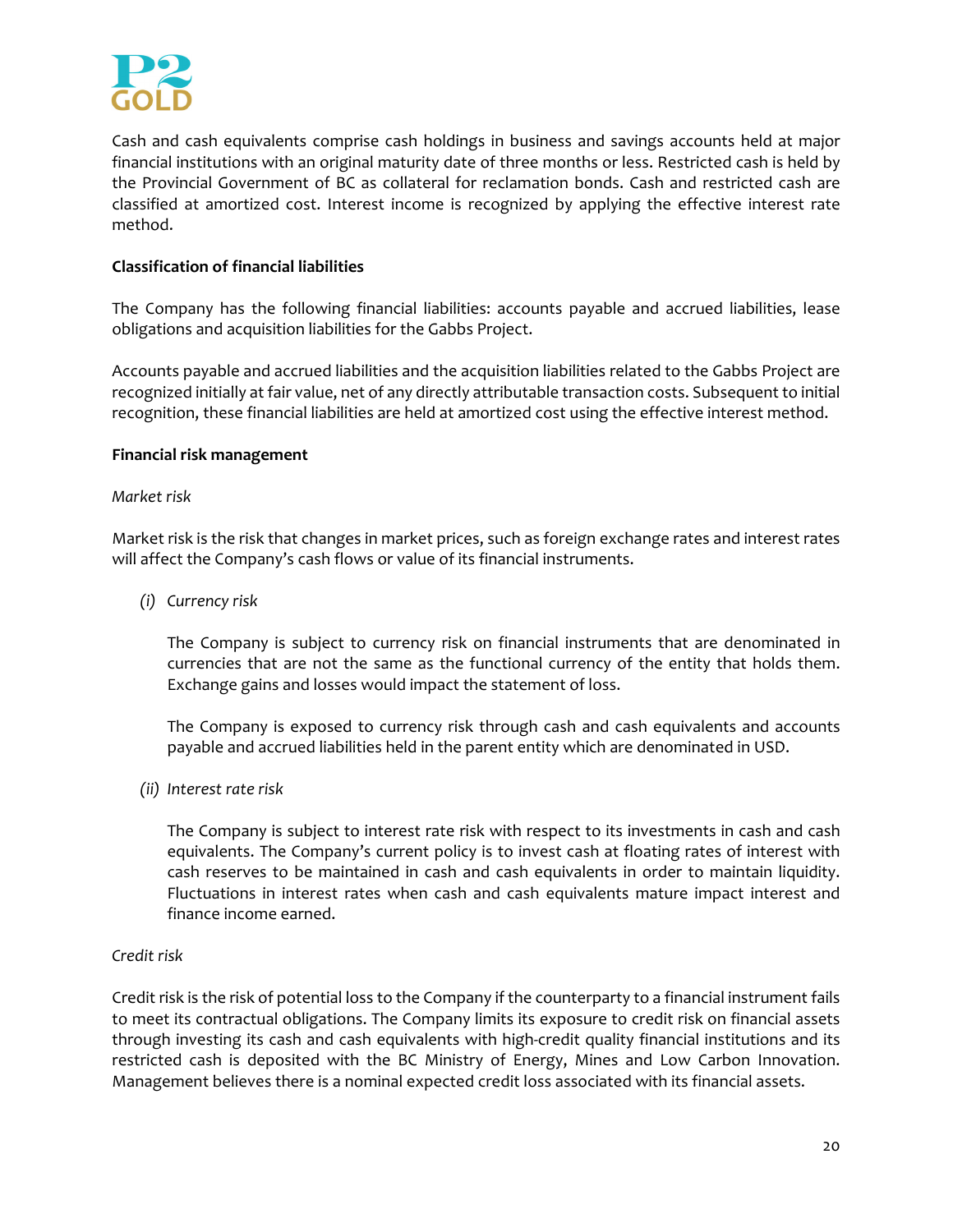

Cash and cash equivalents comprise cash holdings in business and savings accounts held at major financial institutions with an original maturity date of three months or less. Restricted cash is held by the Provincial Government of BC as collateral for reclamation bonds. Cash and restricted cash are classified at amortized cost. Interest income is recognized by applying the effective interest rate method.

## **Classification of financial liabilities**

The Company has the following financial liabilities: accounts payable and accrued liabilities, lease obligations and acquisition liabilities for the Gabbs Project.

Accounts payable and accrued liabilities and the acquisition liabilities related to the Gabbs Project are recognized initially at fair value, net of any directly attributable transaction costs. Subsequent to initial recognition, these financial liabilities are held at amortized cost using the effective interest method.

#### **Financial risk management**

#### *Market risk*

Market risk is the risk that changes in market prices, such as foreign exchange rates and interest rates will affect the Company's cash flows or value of its financial instruments.

*(i) Currency risk*

The Company is subject to currency risk on financial instruments that are denominated in currencies that are not the same as the functional currency of the entity that holds them. Exchange gains and losses would impact the statement of loss.

The Company is exposed to currency risk through cash and cash equivalents and accounts payable and accrued liabilities held in the parent entity which are denominated in USD.

*(ii) Interest rate risk*

The Company is subject to interest rate risk with respect to its investments in cash and cash equivalents. The Company's current policy is to invest cash at floating rates of interest with cash reserves to be maintained in cash and cash equivalents in order to maintain liquidity. Fluctuations in interest rates when cash and cash equivalents mature impact interest and finance income earned.

#### *Credit risk*

Credit risk is the risk of potential loss to the Company if the counterparty to a financial instrument fails to meet its contractual obligations. The Company limits its exposure to credit risk on financial assets through investing its cash and cash equivalents with high-credit quality financial institutions and its restricted cash is deposited with the BC Ministry of Energy, Mines and Low Carbon Innovation. Management believes there is a nominal expected credit loss associated with its financial assets.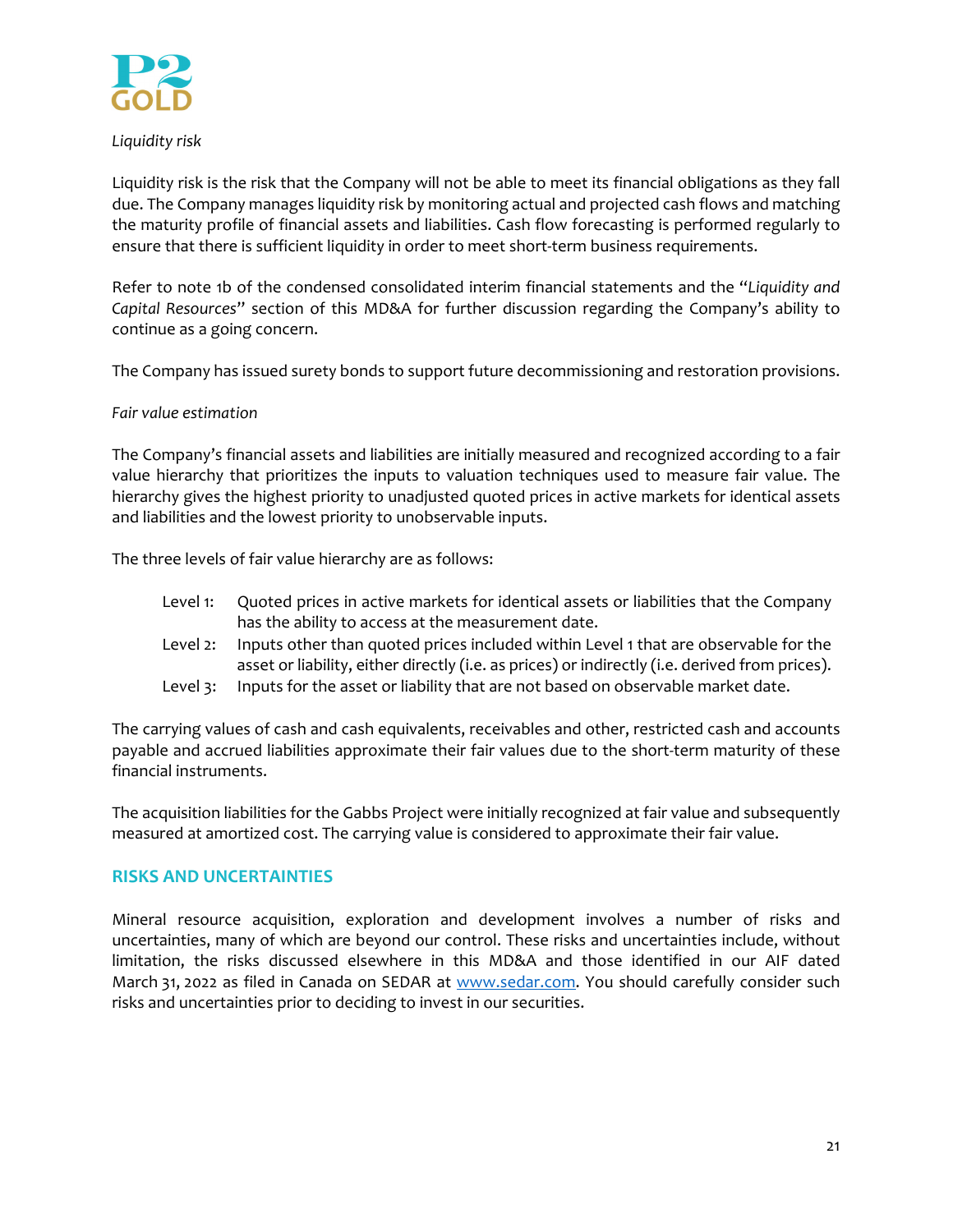

## *Liquidity risk*

Liquidity risk is the risk that the Company will not be able to meet its financial obligations as they fall due. The Company manages liquidity risk by monitoring actual and projected cash flows and matching the maturity profile of financial assets and liabilities. Cash flow forecasting is performed regularly to ensure that there is sufficient liquidity in order to meet short-term business requirements.

Refer to note 1b of the condensed consolidated interim financial statements and the "*Liquidity and Capital Resources*" section of this MD&A for further discussion regarding the Company's ability to continue as a going concern.

The Company has issued surety bonds to support future decommissioning and restoration provisions.

## *Fair value estimation*

The Company's financial assets and liabilities are initially measured and recognized according to a fair value hierarchy that prioritizes the inputs to valuation techniques used to measure fair value. The hierarchy gives the highest priority to unadjusted quoted prices in active markets for identical assets and liabilities and the lowest priority to unobservable inputs.

The three levels of fair value hierarchy are as follows:

| Level 1: Quoted prices in active markets for identical assets or liabilities that the Company |
|-----------------------------------------------------------------------------------------------|
| has the ability to access at the measurement date.                                            |

- Level 2: Inputs other than quoted prices included within Level 1 that are observable for the asset or liability, either directly (i.e. as prices) or indirectly (i.e. derived from prices).
- Level 3: Inputs for the asset or liability that are not based on observable market date.

The carrying values of cash and cash equivalents, receivables and other, restricted cash and accounts payable and accrued liabilities approximate their fair values due to the short-term maturity of these financial instruments.

The acquisition liabilities for the Gabbs Project were initially recognized at fair value and subsequently measured at amortized cost. The carrying value is considered to approximate their fair value.

# **RISKS AND UNCERTAINTIES**

Mineral resource acquisition, exploration and development involves a number of risks and uncertainties, many of which are beyond our control. These risks and uncertainties include, without limitation, the risks discussed elsewhere in this MD&A and those identified in our AIF dated March 31, 2022 as filed in Canada on SEDAR at www.sedar.com. You should carefully consider such risks and uncertainties prior to deciding to invest in our securities.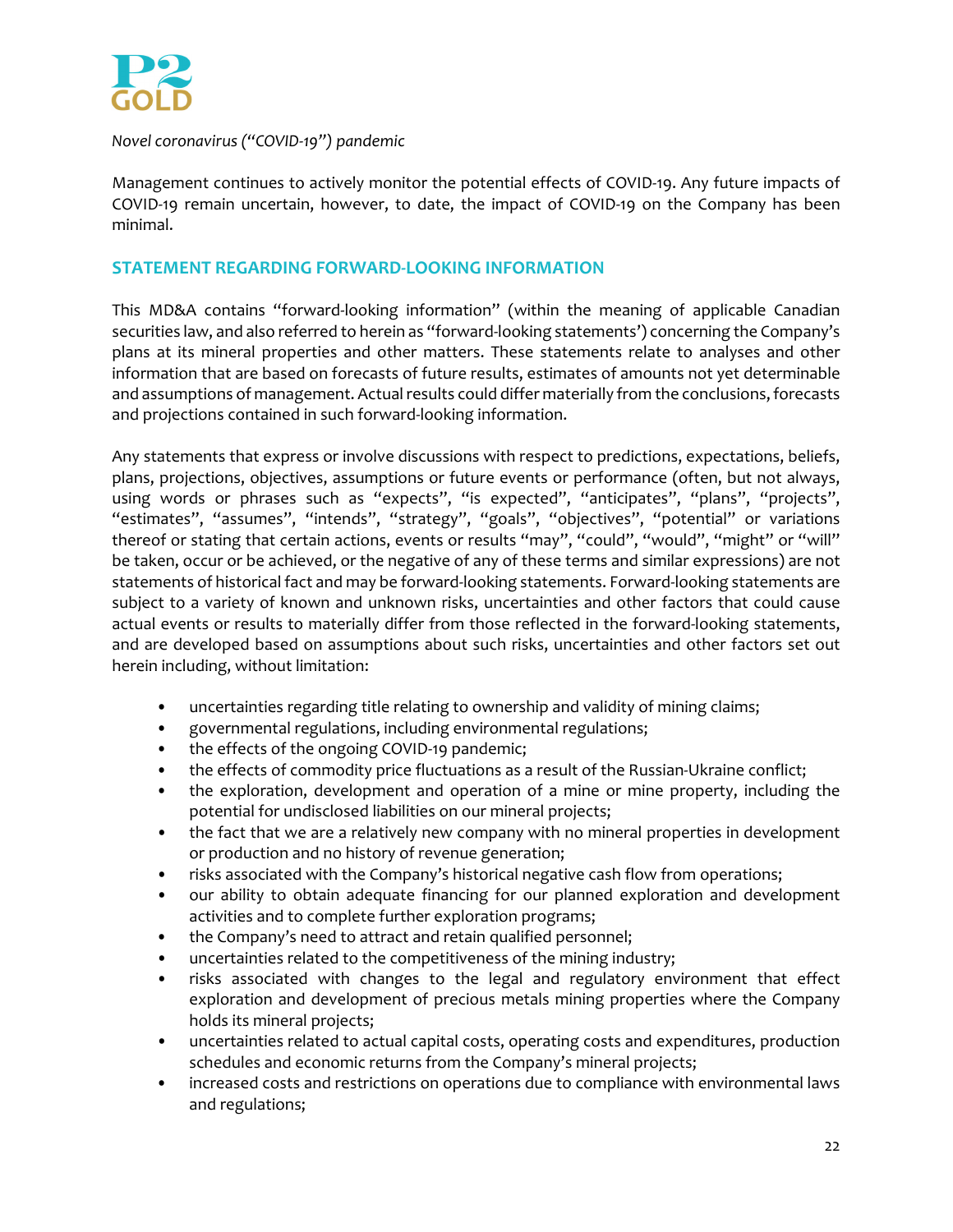

## *Novel coronavirus ("COVID‐19") pandemic*

Management continues to actively monitor the potential effects of COVID‐19. Any future impacts of COVID‐19 remain uncertain, however, to date, the impact of COVID‐19 on the Company has been minimal.

# **STATEMENT REGARDING FORWARD‐LOOKING INFORMATION**

This MD&A contains "forward‐looking information" (within the meaning of applicable Canadian securities law, and also referred to herein as "forward‐looking statements') concerning the Company's plans at its mineral properties and other matters. These statements relate to analyses and other information that are based on forecasts of future results, estimates of amounts not yet determinable and assumptions of management. Actual results could differ materially from the conclusions, forecasts and projections contained in such forward‐looking information.

Any statements that express or involve discussions with respect to predictions, expectations, beliefs, plans, projections, objectives, assumptions or future events or performance (often, but not always, using words or phrases such as "expects", "is expected", "anticipates", "plans", "projects", "estimates", "assumes", "intends", "strategy", "goals", "objectives", "potential" or variations thereof or stating that certain actions, events or results "may", "could", "would", "might" or "will" be taken, occur or be achieved, or the negative of any of these terms and similar expressions) are not statements of historical fact and may be forward‐looking statements. Forward‐looking statements are subject to a variety of known and unknown risks, uncertainties and other factors that could cause actual events or results to materially differ from those reflected in the forward‐looking statements, and are developed based on assumptions about such risks, uncertainties and other factors set out herein including, without limitation:

- uncertainties regarding title relating to ownership and validity of mining claims;
- governmental regulations, including environmental regulations;
- the effects of the ongoing COVID-19 pandemic;
- the effects of commodity price fluctuations as a result of the Russian-Ukraine conflict;
- the exploration, development and operation of a mine or mine property, including the potential for undisclosed liabilities on our mineral projects;
- the fact that we are a relatively new company with no mineral properties in development or production and no history of revenue generation;
- risks associated with the Company's historical negative cash flow from operations;
- our ability to obtain adequate financing for our planned exploration and development activities and to complete further exploration programs;
- the Company's need to attract and retain qualified personnel;
- uncertainties related to the competitiveness of the mining industry;
- risks associated with changes to the legal and regulatory environment that effect exploration and development of precious metals mining properties where the Company holds its mineral projects;
- uncertainties related to actual capital costs, operating costs and expenditures, production schedules and economic returns from the Company's mineral projects;
- increased costs and restrictions on operations due to compliance with environmental laws and regulations;